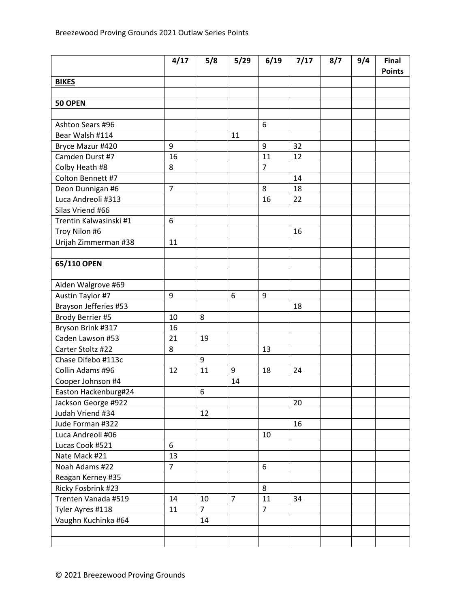|                        | 4/17           | 5/8            | 5/29           | 6/19           | 7/17 | 8/7 | 9/4 | Final<br><b>Points</b> |
|------------------------|----------------|----------------|----------------|----------------|------|-----|-----|------------------------|
| <b>BIKES</b>           |                |                |                |                |      |     |     |                        |
|                        |                |                |                |                |      |     |     |                        |
| 50 OPEN                |                |                |                |                |      |     |     |                        |
|                        |                |                |                |                |      |     |     |                        |
| Ashton Sears #96       |                |                |                | 6              |      |     |     |                        |
| Bear Walsh #114        |                |                | 11             |                |      |     |     |                        |
| Bryce Mazur #420       | 9              |                |                | 9              | 32   |     |     |                        |
| Camden Durst #7        | 16             |                |                | 11             | 12   |     |     |                        |
| Colby Heath #8         | 8              |                |                | $\overline{7}$ |      |     |     |                        |
| Colton Bennett #7      |                |                |                |                | 14   |     |     |                        |
| Deon Dunnigan #6       | $\overline{7}$ |                |                | 8              | 18   |     |     |                        |
| Luca Andreoli #313     |                |                |                | 16             | 22   |     |     |                        |
| Silas Vriend #66       |                |                |                |                |      |     |     |                        |
| Trentin Kalwasinski #1 | 6              |                |                |                |      |     |     |                        |
| Troy Nilon #6          |                |                |                |                | 16   |     |     |                        |
| Urijah Zimmerman #38   | 11             |                |                |                |      |     |     |                        |
|                        |                |                |                |                |      |     |     |                        |
| 65/110 OPEN            |                |                |                |                |      |     |     |                        |
|                        |                |                |                |                |      |     |     |                        |
| Aiden Walgrove #69     |                |                |                |                |      |     |     |                        |
| Austin Taylor #7       | 9              |                | 6              | 9              |      |     |     |                        |
| Brayson Jefferies #53  |                |                |                |                | 18   |     |     |                        |
| Brody Berrier #5       | 10             | 8              |                |                |      |     |     |                        |
| Bryson Brink #317      | 16             |                |                |                |      |     |     |                        |
| Caden Lawson #53       | 21             | 19             |                |                |      |     |     |                        |
| Carter Stoltz #22      | 8              |                |                | 13             |      |     |     |                        |
| Chase Difebo #113c     |                | 9              |                |                |      |     |     |                        |
| Collin Adams #96       | 12             | 11             | 9              | 18             | 24   |     |     |                        |
| Cooper Johnson #4      |                |                | 14             |                |      |     |     |                        |
| Easton Hackenburg#24   |                | 6              |                |                |      |     |     |                        |
| Jackson George #922    |                |                |                |                | 20   |     |     |                        |
| Judah Vriend #34       |                | 12             |                |                |      |     |     |                        |
| Jude Forman #322       |                |                |                |                | 16   |     |     |                        |
| Luca Andreoli #06      |                |                |                | 10             |      |     |     |                        |
| Lucas Cook #521        | 6              |                |                |                |      |     |     |                        |
| Nate Mack #21          | 13             |                |                |                |      |     |     |                        |
| Noah Adams #22         | $\overline{7}$ |                |                | 6              |      |     |     |                        |
| Reagan Kerney #35      |                |                |                |                |      |     |     |                        |
| Ricky Fosbrink #23     |                |                |                | 8              |      |     |     |                        |
| Trenten Vanada #519    | 14             | 10             | $\overline{7}$ | 11             | 34   |     |     |                        |
| Tyler Ayres #118       | 11             | $\overline{7}$ |                | $\overline{7}$ |      |     |     |                        |
| Vaughn Kuchinka #64    |                | 14             |                |                |      |     |     |                        |
|                        |                |                |                |                |      |     |     |                        |
|                        |                |                |                |                |      |     |     |                        |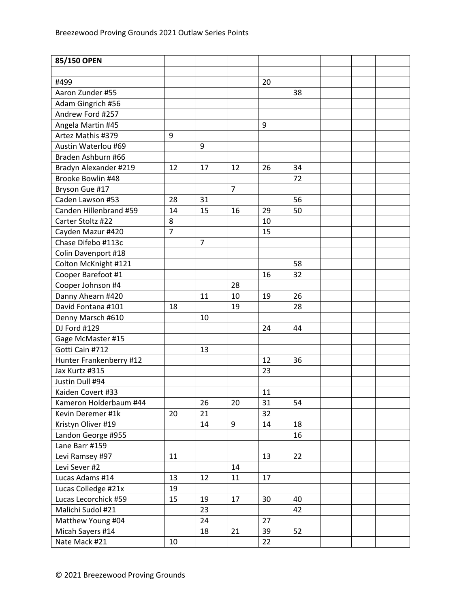| 85/150 OPEN             |                |                |                |    |    |  |  |
|-------------------------|----------------|----------------|----------------|----|----|--|--|
|                         |                |                |                |    |    |  |  |
| #499                    |                |                |                | 20 |    |  |  |
| Aaron Zunder #55        |                |                |                |    | 38 |  |  |
| Adam Gingrich #56       |                |                |                |    |    |  |  |
| Andrew Ford #257        |                |                |                |    |    |  |  |
| Angela Martin #45       |                |                |                | 9  |    |  |  |
| Artez Mathis #379       | 9              |                |                |    |    |  |  |
| Austin Waterlou #69     |                | 9              |                |    |    |  |  |
| Braden Ashburn #66      |                |                |                |    |    |  |  |
| Bradyn Alexander #219   | 12             | 17             | 12             | 26 | 34 |  |  |
| Brooke Bowlin #48       |                |                |                |    | 72 |  |  |
| Bryson Gue #17          |                |                | $\overline{7}$ |    |    |  |  |
| Caden Lawson #53        | 28             | 31             |                |    | 56 |  |  |
| Canden Hillenbrand #59  | 14             | 15             | 16             | 29 | 50 |  |  |
| Carter Stoltz #22       | 8              |                |                | 10 |    |  |  |
| Cayden Mazur #420       | $\overline{7}$ |                |                | 15 |    |  |  |
| Chase Difebo #113c      |                | $\overline{7}$ |                |    |    |  |  |
| Colin Davenport #18     |                |                |                |    |    |  |  |
| Colton McKnight #121    |                |                |                |    | 58 |  |  |
| Cooper Barefoot #1      |                |                |                | 16 | 32 |  |  |
| Cooper Johnson #4       |                |                | 28             |    |    |  |  |
| Danny Ahearn #420       |                | 11             | 10             | 19 | 26 |  |  |
| David Fontana #101      | 18             |                | 19             |    | 28 |  |  |
| Denny Marsch #610       |                | 10             |                |    |    |  |  |
| DJ Ford #129            |                |                |                | 24 | 44 |  |  |
| Gage McMaster #15       |                |                |                |    |    |  |  |
| Gotti Cain #712         |                | 13             |                |    |    |  |  |
| Hunter Frankenberry #12 |                |                |                | 12 | 36 |  |  |
| Jax Kurtz #315          |                |                |                | 23 |    |  |  |
| Justin Dull #94         |                |                |                |    |    |  |  |
| Kaiden Covert #33       |                |                |                | 11 |    |  |  |
| Kameron Holderbaum #44  |                | 26             | 20             | 31 | 54 |  |  |
| Kevin Deremer #1k       | 20             | 21             |                | 32 |    |  |  |
| Kristyn Oliver #19      |                | 14             | 9              | 14 | 18 |  |  |
| Landon George #955      |                |                |                |    | 16 |  |  |
| Lane Barr #159          |                |                |                |    |    |  |  |
| Levi Ramsey #97         | 11             |                |                | 13 | 22 |  |  |
| Levi Sever #2           |                |                | 14             |    |    |  |  |
| Lucas Adams #14         | 13             | 12             | 11             | 17 |    |  |  |
| Lucas Colledge #21x     | 19             |                |                |    |    |  |  |
| Lucas Lecorchick #59    | 15             | 19             | 17             | 30 | 40 |  |  |
| Malichi Sudol #21       |                | 23             |                |    | 42 |  |  |
| Matthew Young #04       |                | 24             |                | 27 |    |  |  |
| Micah Sayers #14        |                | 18             | 21             | 39 | 52 |  |  |
| Nate Mack #21           | 10             |                |                | 22 |    |  |  |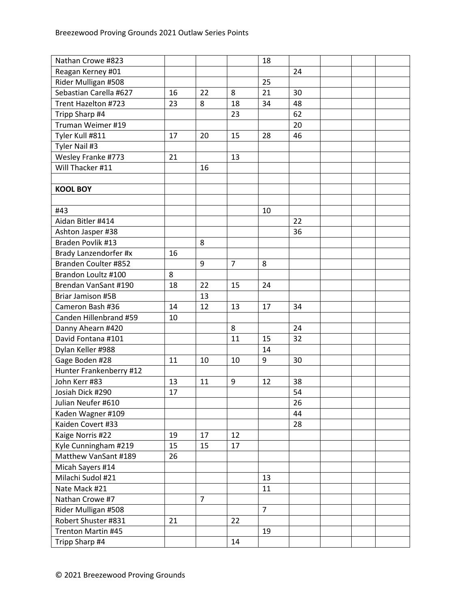| Nathan Crowe #823       |    |                |                | 18             |    |  |  |
|-------------------------|----|----------------|----------------|----------------|----|--|--|
| Reagan Kerney #01       |    |                |                |                | 24 |  |  |
| Rider Mulligan #508     |    |                |                | 25             |    |  |  |
| Sebastian Carella #627  | 16 | 22             | 8              | 21             | 30 |  |  |
| Trent Hazelton #723     | 23 | 8              | 18             | 34             | 48 |  |  |
| Tripp Sharp #4          |    |                | 23             |                | 62 |  |  |
| Truman Weimer #19       |    |                |                |                | 20 |  |  |
| Tyler Kull #811         | 17 | 20             | 15             | 28             | 46 |  |  |
| Tyler Nail #3           |    |                |                |                |    |  |  |
| Wesley Franke #773      | 21 |                | 13             |                |    |  |  |
| Will Thacker #11        |    | 16             |                |                |    |  |  |
|                         |    |                |                |                |    |  |  |
| <b>KOOL BOY</b>         |    |                |                |                |    |  |  |
|                         |    |                |                |                |    |  |  |
| #43                     |    |                |                | 10             |    |  |  |
| Aidan Bitler #414       |    |                |                |                | 22 |  |  |
| Ashton Jasper #38       |    |                |                |                | 36 |  |  |
| Braden Povlik #13       |    | 8              |                |                |    |  |  |
| Brady Lanzendorfer #x   | 16 |                |                |                |    |  |  |
| Branden Coulter #852    |    | 9              | $\overline{7}$ | 8              |    |  |  |
| Brandon Loultz #100     | 8  |                |                |                |    |  |  |
| Brendan VanSant #190    | 18 | 22             | 15             | 24             |    |  |  |
| Briar Jamison #5B       |    | 13             |                |                |    |  |  |
| Cameron Bash #36        | 14 | 12             | 13             | 17             | 34 |  |  |
| Canden Hillenbrand #59  | 10 |                |                |                |    |  |  |
| Danny Ahearn #420       |    |                | 8              |                | 24 |  |  |
| David Fontana #101      |    |                | 11             | 15             | 32 |  |  |
| Dylan Keller #988       |    |                |                | 14             |    |  |  |
| Gage Boden #28          | 11 | 10             | 10             | 9              | 30 |  |  |
| Hunter Frankenberry #12 |    |                |                |                |    |  |  |
| John Kerr #83           | 13 | 11             | 9              | 12             | 38 |  |  |
| Josiah Dick #290        | 17 |                |                |                | 54 |  |  |
| Julian Neufer #610      |    |                |                |                | 26 |  |  |
| Kaden Wagner #109       |    |                |                |                | 44 |  |  |
| Kaiden Covert #33       |    |                |                |                | 28 |  |  |
| Kaige Norris #22        | 19 | 17             | 12             |                |    |  |  |
| Kyle Cunningham #219    | 15 | 15             | 17             |                |    |  |  |
| Matthew VanSant #189    | 26 |                |                |                |    |  |  |
| Micah Sayers #14        |    |                |                |                |    |  |  |
| Milachi Sudol #21       |    |                |                | 13             |    |  |  |
| Nate Mack #21           |    |                |                | 11             |    |  |  |
| Nathan Crowe #7         |    | $\overline{7}$ |                |                |    |  |  |
| Rider Mulligan #508     |    |                |                | $\overline{7}$ |    |  |  |
| Robert Shuster #831     | 21 |                | 22             |                |    |  |  |
| Trenton Martin #45      |    |                |                | 19             |    |  |  |
| Tripp Sharp #4          |    |                | 14             |                |    |  |  |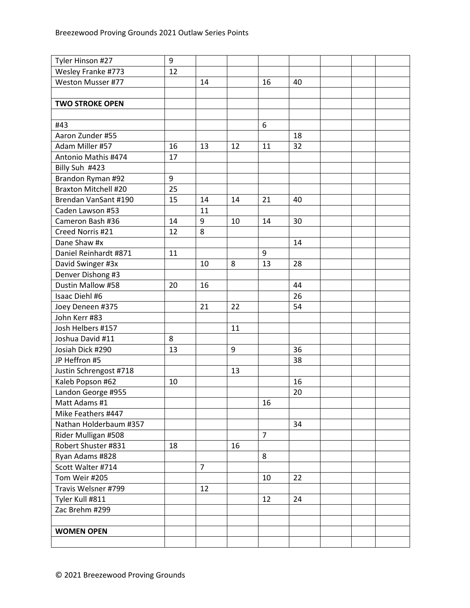| Tyler Hinson #27            | 9  |                |    |                |    |  |  |
|-----------------------------|----|----------------|----|----------------|----|--|--|
| Wesley Franke #773          | 12 |                |    |                |    |  |  |
| Weston Musser #77           |    | 14             |    | 16             | 40 |  |  |
|                             |    |                |    |                |    |  |  |
| <b>TWO STROKE OPEN</b>      |    |                |    |                |    |  |  |
|                             |    |                |    |                |    |  |  |
| #43                         |    |                |    | 6              |    |  |  |
| Aaron Zunder #55            |    |                |    |                | 18 |  |  |
| Adam Miller #57             | 16 | 13             | 12 | 11             | 32 |  |  |
| Antonio Mathis #474         | 17 |                |    |                |    |  |  |
| Billy Suh #423              |    |                |    |                |    |  |  |
| Brandon Ryman #92           | 9  |                |    |                |    |  |  |
| <b>Braxton Mitchell #20</b> | 25 |                |    |                |    |  |  |
| Brendan VanSant #190        | 15 | 14             | 14 | 21             | 40 |  |  |
| Caden Lawson #53            |    | 11             |    |                |    |  |  |
| Cameron Bash #36            | 14 | 9              | 10 | 14             | 30 |  |  |
| Creed Norris #21            | 12 | 8              |    |                |    |  |  |
| Dane Shaw #x                |    |                |    |                | 14 |  |  |
| Daniel Reinhardt #871       | 11 |                |    | 9              |    |  |  |
| David Swinger #3x           |    | 10             | 8  | 13             | 28 |  |  |
| Denver Dishong #3           |    |                |    |                |    |  |  |
| Dustin Mallow #58           | 20 | 16             |    |                | 44 |  |  |
| Isaac Diehl #6              |    |                |    |                | 26 |  |  |
| Joey Deneen #375            |    | 21             | 22 |                | 54 |  |  |
| John Kerr #83               |    |                |    |                |    |  |  |
| Josh Helbers #157           |    |                | 11 |                |    |  |  |
| Joshua David #11            | 8  |                |    |                |    |  |  |
| Josiah Dick #290            | 13 |                | 9  |                | 36 |  |  |
| JP Heffron #5               |    |                |    |                | 38 |  |  |
| Justin Schrengost #718      |    |                | 13 |                |    |  |  |
| Kaleb Popson #62            | 10 |                |    |                | 16 |  |  |
| Landon George #955          |    |                |    |                | 20 |  |  |
| Matt Adams #1               |    |                |    | 16             |    |  |  |
| Mike Feathers #447          |    |                |    |                |    |  |  |
| Nathan Holderbaum #357      |    |                |    |                | 34 |  |  |
| Rider Mulligan #508         |    |                |    | $\overline{7}$ |    |  |  |
| Robert Shuster #831         | 18 |                | 16 |                |    |  |  |
| Ryan Adams #828             |    |                |    | 8              |    |  |  |
| Scott Walter #714           |    | $\overline{7}$ |    |                |    |  |  |
| Tom Weir #205               |    |                |    | 10             | 22 |  |  |
| Travis Welsner #799         |    | 12             |    |                |    |  |  |
| Tyler Kull #811             |    |                |    | 12             | 24 |  |  |
| Zac Brehm #299              |    |                |    |                |    |  |  |
|                             |    |                |    |                |    |  |  |
| <b>WOMEN OPEN</b>           |    |                |    |                |    |  |  |
|                             |    |                |    |                |    |  |  |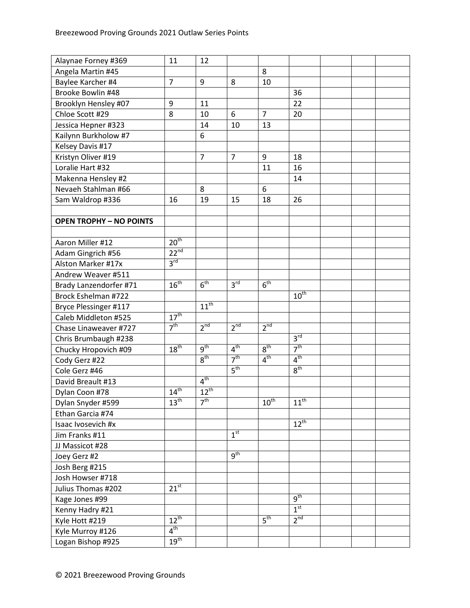| Alaynae Forney #369            | 11                          | 12              |                 |                  |                  |  |  |
|--------------------------------|-----------------------------|-----------------|-----------------|------------------|------------------|--|--|
| Angela Martin #45              |                             |                 |                 | 8                |                  |  |  |
| Baylee Karcher #4              | $\overline{7}$              | 9               | 8               | 10               |                  |  |  |
| Brooke Bowlin #48              |                             |                 |                 |                  | 36               |  |  |
| Brooklyn Hensley #07           | 9                           | 11              |                 |                  | 22               |  |  |
| Chloe Scott #29                | 8                           | 10              | 6               | $\overline{7}$   | 20               |  |  |
| Jessica Hepner #323            |                             | 14              | 10              | 13               |                  |  |  |
| Kailynn Burkholow #7           |                             | 6               |                 |                  |                  |  |  |
| Kelsey Davis #17               |                             |                 |                 |                  |                  |  |  |
| Kristyn Oliver #19             |                             | $\overline{7}$  | $\overline{7}$  | 9                | 18               |  |  |
| Loralie Hart #32               |                             |                 |                 | 11               | 16               |  |  |
| Makenna Hensley #2             |                             |                 |                 |                  | 14               |  |  |
| Nevaeh Stahlman #66            |                             | 8               |                 | 6                |                  |  |  |
| Sam Waldrop #336               | 16                          | 19              | 15              | 18               | 26               |  |  |
|                                |                             |                 |                 |                  |                  |  |  |
| <b>OPEN TROPHY - NO POINTS</b> |                             |                 |                 |                  |                  |  |  |
|                                |                             |                 |                 |                  |                  |  |  |
| Aaron Miller #12               | 20 <sup>th</sup>            |                 |                 |                  |                  |  |  |
| Adam Gingrich #56              | $22^{nd}$                   |                 |                 |                  |                  |  |  |
| Alston Marker #17x             | 3 <sup>rd</sup>             |                 |                 |                  |                  |  |  |
| Andrew Weaver #511             |                             |                 |                 |                  |                  |  |  |
| Brady Lanzendorfer #71         | $16^{th}$                   | 6 <sup>th</sup> | 3 <sup>rd</sup> | 6 <sup>th</sup>  |                  |  |  |
| Brock Eshelman #722            |                             |                 |                 |                  | $10^{\text{th}}$ |  |  |
| Bryce Plessinger #117          |                             | $11^{th}$       |                 |                  |                  |  |  |
| Caleb Middleton #525           | $17^{\text{th}}$            |                 |                 |                  |                  |  |  |
| Chase Linaweaver #727          | 7 <sup>th</sup>             | 2 <sup>nd</sup> | $2^{nd}$        | 2 <sup>nd</sup>  |                  |  |  |
| Chris Brumbaugh #238           |                             |                 |                 |                  | 3 <sup>rd</sup>  |  |  |
| Chucky Hropovich #09           | 18 <sup>th</sup>            | $q^{th}$        | 4 <sup>th</sup> | 8 <sup>th</sup>  | 7 <sup>th</sup>  |  |  |
| Cody Gerz #22                  |                             | 8 <sup>th</sup> | 7 <sup>th</sup> | 4 <sup>th</sup>  | 4 <sup>th</sup>  |  |  |
| Cole Gerz #46                  |                             |                 | 5 <sup>th</sup> |                  | $8^{\text{th}}$  |  |  |
| David Breault #13              |                             | 4 <sup>th</sup> |                 |                  |                  |  |  |
| Dylan Coon #78                 | $14^{\overline{\text{th}}}$ | $12^{th}$       |                 |                  |                  |  |  |
| Dylan Snyder #599              | $13^{\text{th}}$            | 7 <sup>th</sup> |                 | $10^{\text{th}}$ | $11^{\text{th}}$ |  |  |
| Ethan Garcia #74               |                             |                 |                 |                  |                  |  |  |
| Isaac Ivosevich #x             |                             |                 |                 |                  | $12^{th}$        |  |  |
| Jim Franks #11                 |                             |                 | 1 <sup>st</sup> |                  |                  |  |  |
| JJ Massicot #28                |                             |                 |                 |                  |                  |  |  |
| Joey Gerz #2                   |                             |                 | 9 <sup>th</sup> |                  |                  |  |  |
| Josh Berg #215                 |                             |                 |                 |                  |                  |  |  |
| Josh Howser #718               |                             |                 |                 |                  |                  |  |  |
| Julius Thomas #202             | $21^{st}$                   |                 |                 |                  |                  |  |  |
| Kage Jones #99                 |                             |                 |                 |                  | 9 <sup>th</sup>  |  |  |
| Kenny Hadry #21                |                             |                 |                 |                  | 1 <sup>st</sup>  |  |  |
| Kyle Hott #219                 | $12^{th}$                   |                 |                 | 5 <sup>th</sup>  | 2 <sup>nd</sup>  |  |  |
| Kyle Murroy #126               | 4 <sup>th</sup>             |                 |                 |                  |                  |  |  |
| Logan Bishop #925              | 19 <sup>th</sup>            |                 |                 |                  |                  |  |  |
|                                |                             |                 |                 |                  |                  |  |  |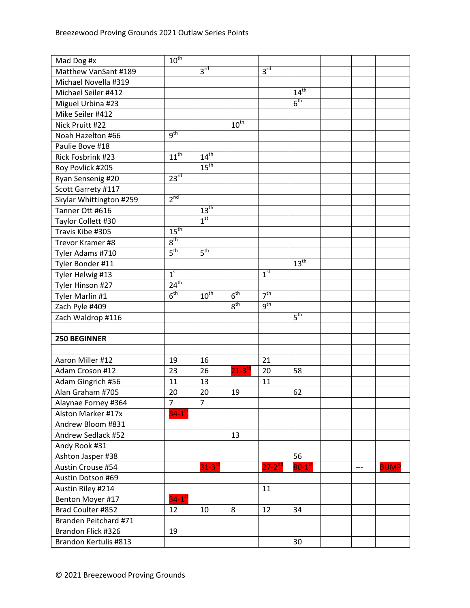| Mad Dog #x              | $10^{\text{th}}$     |                  |                        |                 |                    |       |             |
|-------------------------|----------------------|------------------|------------------------|-----------------|--------------------|-------|-------------|
| Matthew VanSant #189    |                      | 3 <sup>rd</sup>  |                        | 3 <sup>rd</sup> |                    |       |             |
| Michael Novella #319    |                      |                  |                        |                 |                    |       |             |
| Michael Seiler #412     |                      |                  |                        |                 | 14 <sup>th</sup>   |       |             |
| Miguel Urbina #23       |                      |                  |                        |                 | 6 <sup>th</sup>    |       |             |
| Mike Seiler #412        |                      |                  |                        |                 |                    |       |             |
| Nick Pruitt #22         |                      |                  | $10^{th}$              |                 |                    |       |             |
| Noah Hazelton #66       | 9 <sup>th</sup>      |                  |                        |                 |                    |       |             |
| Paulie Bove #18         |                      |                  |                        |                 |                    |       |             |
| Rick Fosbrink #23       | $11^{th}$            | $14^{th}$        |                        |                 |                    |       |             |
| Roy Povlick #205        |                      | 15 <sup>th</sup> |                        |                 |                    |       |             |
| Ryan Sensenig #20       | 23 <sup>rd</sup>     |                  |                        |                 |                    |       |             |
| Scott Garrety #117      |                      |                  |                        |                 |                    |       |             |
| Skylar Whittington #259 | 2 <sup>nd</sup>      |                  |                        |                 |                    |       |             |
| Tanner Ott #616         |                      | $13^{\text{th}}$ |                        |                 |                    |       |             |
| Taylor Collett #30      |                      | 1 <sup>st</sup>  |                        |                 |                    |       |             |
| Travis Kibe #305        | $15^{\text{th}}$     |                  |                        |                 |                    |       |             |
| Trevor Kramer #8        | 8 <sup>th</sup>      |                  |                        |                 |                    |       |             |
| Tyler Adams #710        | 5 <sup>th</sup>      | 5 <sup>th</sup>  |                        |                 |                    |       |             |
| Tyler Bonder #11        |                      |                  |                        |                 | 13 <sup>th</sup>   |       |             |
| Tyler Helwig #13        | 1 <sup>st</sup>      |                  |                        | 1 <sup>st</sup> |                    |       |             |
| Tyler Hinson #27        | 24 <sup>th</sup>     |                  |                        |                 |                    |       |             |
| Tyler Marlin #1         | 6 <sup>th</sup>      | $10^{\text{th}}$ | 6 <sup>th</sup>        | 7 <sup>th</sup> |                    |       |             |
| Zach Pyle #409          |                      |                  | 8 <sup>th</sup>        | 9 <sup>th</sup> |                    |       |             |
| Zach Waldrop #116       |                      |                  |                        |                 | 5 <sup>th</sup>    |       |             |
|                         |                      |                  |                        |                 |                    |       |             |
| <b>250 BEGINNER</b>     |                      |                  |                        |                 |                    |       |             |
|                         |                      |                  |                        |                 |                    |       |             |
| Aaron Miller #12        | 19                   | 16               |                        | 21              |                    |       |             |
| Adam Croson #12         | 23                   | 26               | $21 - 3$ <sup>rc</sup> | 20              | 58                 |       |             |
| Adam Gingrich #56       | 11                   | 13               |                        | 11              |                    |       |             |
| Alan Graham #705        | 20                   | 20               | 19                     |                 | 62                 |       |             |
| Alaynae Forney #364     | $\overline{7}$       | $\overline{7}$   |                        |                 |                    |       |             |
| Alston Marker #17x      | $34-1$ <sup>st</sup> |                  |                        |                 |                    |       |             |
| Andrew Bloom #831       |                      |                  |                        |                 |                    |       |             |
| Andrew Sedlack #52      |                      |                  | 13                     |                 |                    |       |             |
| Andy Rook #31           |                      |                  |                        |                 |                    |       |             |
| Ashton Jasper #38       |                      |                  |                        |                 | 56                 |       |             |
| Austin Crouse #54       |                      | $31 - 3^{rd}$    |                        | $27 - 2^{nd}$   | $80-1^\mathrm{st}$ | $---$ | <b>BUMP</b> |
| Austin Dotson #69       |                      |                  |                        |                 |                    |       |             |
| Austin Riley #214       |                      |                  |                        | 11              |                    |       |             |
| Benton Moyer #17        | $34-1$ <sup>st</sup> |                  |                        |                 |                    |       |             |
| Brad Coulter #852       | 12                   | 10               | 8                      | 12              | 34                 |       |             |
| Branden Peitchard #71   |                      |                  |                        |                 |                    |       |             |
| Brandon Flick #326      | 19                   |                  |                        |                 |                    |       |             |
| Brandon Kertulis #813   |                      |                  |                        |                 | 30                 |       |             |
|                         |                      |                  |                        |                 |                    |       |             |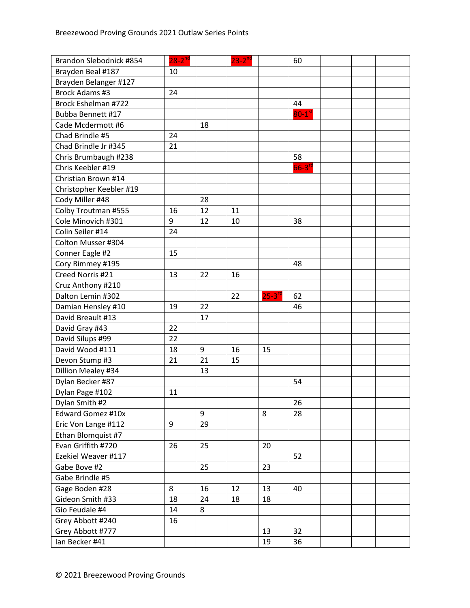| Brandon Slebodnick #854 | $28 - 2^{nd}$ |    | $23 - 2^{nd}$ |               | 60                   |  |  |
|-------------------------|---------------|----|---------------|---------------|----------------------|--|--|
| Brayden Beal #187       | 10            |    |               |               |                      |  |  |
| Brayden Belanger #127   |               |    |               |               |                      |  |  |
| Brock Adams #3          | 24            |    |               |               |                      |  |  |
| Brock Eshelman #722     |               |    |               |               | 44                   |  |  |
| Bubba Bennett #17       |               |    |               |               | $80-1$ <sup>st</sup> |  |  |
| Cade Mcdermott #6       |               | 18 |               |               |                      |  |  |
| Chad Brindle #5         | 24            |    |               |               |                      |  |  |
| Chad Brindle Jr #345    | 21            |    |               |               |                      |  |  |
| Chris Brumbaugh #238    |               |    |               |               | 58                   |  |  |
| Chris Keebler #19       |               |    |               |               | $66-3$ <sup>rd</sup> |  |  |
| Christian Brown #14     |               |    |               |               |                      |  |  |
| Christopher Keebler #19 |               |    |               |               |                      |  |  |
| Cody Miller #48         |               | 28 |               |               |                      |  |  |
| Colby Troutman #555     | 16            | 12 | 11            |               |                      |  |  |
| Cole Minovich #301      | 9             | 12 | 10            |               | 38                   |  |  |
| Colin Seiler #14        | 24            |    |               |               |                      |  |  |
| Colton Musser #304      |               |    |               |               |                      |  |  |
| Conner Eagle #2         | 15            |    |               |               |                      |  |  |
| Cory Rimmey #195        |               |    |               |               | 48                   |  |  |
| Creed Norris #21        | 13            | 22 | 16            |               |                      |  |  |
| Cruz Anthony #210       |               |    |               |               |                      |  |  |
| Dalton Lemin #302       |               |    | 22            | $25 - 3^{10}$ | 62                   |  |  |
| Damian Hensley #10      | 19            | 22 |               |               | 46                   |  |  |
| David Breault #13       |               | 17 |               |               |                      |  |  |
| David Gray #43          | 22            |    |               |               |                      |  |  |
| David Silups #99        | 22            |    |               |               |                      |  |  |
| David Wood #111         | 18            | 9  | 16            | 15            |                      |  |  |
| Devon Stump #3          | 21            | 21 | 15            |               |                      |  |  |
| Dillion Mealey #34      |               | 13 |               |               |                      |  |  |
| Dylan Becker #87        |               |    |               |               | 54                   |  |  |
| Dylan Page #102         | 11            |    |               |               |                      |  |  |
| Dylan Smith #2          |               |    |               |               | 26                   |  |  |
| Edward Gomez #10x       |               | 9  |               | 8             | 28                   |  |  |
| Eric Von Lange #112     | 9             | 29 |               |               |                      |  |  |
| Ethan Blomquist #7      |               |    |               |               |                      |  |  |
| Evan Griffith #720      | 26            | 25 |               | 20            |                      |  |  |
| Ezekiel Weaver #117     |               |    |               |               | 52                   |  |  |
| Gabe Bove #2            |               | 25 |               | 23            |                      |  |  |
| Gabe Brindle #5         |               |    |               |               |                      |  |  |
| Gage Boden #28          | 8             | 16 | 12            | 13            | 40                   |  |  |
| Gideon Smith #33        | 18            | 24 | 18            | 18            |                      |  |  |
| Gio Feudale #4          | 14            | 8  |               |               |                      |  |  |
| Grey Abbott #240        | 16            |    |               |               |                      |  |  |
| Grey Abbott #777        |               |    |               | 13            | 32                   |  |  |
| Ian Becker #41          |               |    |               | 19            | 36                   |  |  |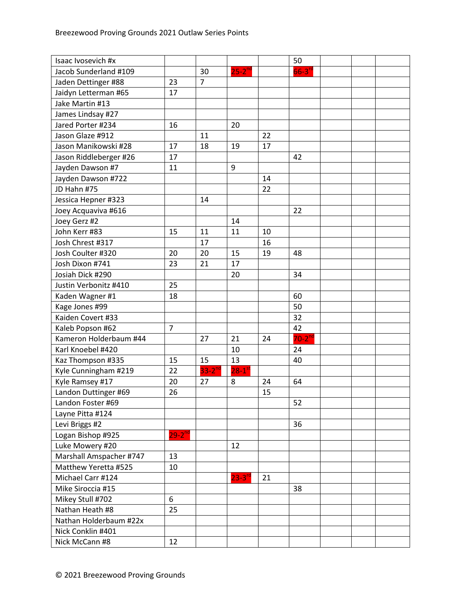| Isaac Ivosevich #x      |                |                |                      |    | 50                   |  |  |
|-------------------------|----------------|----------------|----------------------|----|----------------------|--|--|
| Jacob Sunderland #109   |                | 30             | $25 - 2^{nd}$        |    | $66-3$ <sup>rc</sup> |  |  |
| Jaden Dettinger #88     | 23             | $\overline{7}$ |                      |    |                      |  |  |
| Jaidyn Letterman #65    | 17             |                |                      |    |                      |  |  |
| Jake Martin #13         |                |                |                      |    |                      |  |  |
| James Lindsay #27       |                |                |                      |    |                      |  |  |
| Jared Porter #234       | 16             |                | 20                   |    |                      |  |  |
| Jason Glaze #912        |                | 11             |                      | 22 |                      |  |  |
| Jason Manikowski #28    | 17             | 18             | 19                   | 17 |                      |  |  |
| Jason Riddleberger #26  | 17             |                |                      |    | 42                   |  |  |
| Jayden Dawson #7        | 11             |                | 9                    |    |                      |  |  |
| Jayden Dawson #722      |                |                |                      | 14 |                      |  |  |
| JD Hahn #75             |                |                |                      | 22 |                      |  |  |
| Jessica Hepner #323     |                | 14             |                      |    |                      |  |  |
| Joey Acquaviva #616     |                |                |                      |    | 22                   |  |  |
| Joey Gerz #2            |                |                | 14                   |    |                      |  |  |
| John Kerr #83           | 15             | 11             | 11                   | 10 |                      |  |  |
| Josh Chrest #317        |                | 17             |                      | 16 |                      |  |  |
| Josh Coulter #320       | 20             | 20             | 15                   | 19 | 48                   |  |  |
| Josh Dixon #741         | 23             | 21             | 17                   |    |                      |  |  |
| Josiah Dick #290        |                |                | 20                   |    | 34                   |  |  |
| Justin Verbonitz #410   | 25             |                |                      |    |                      |  |  |
| Kaden Wagner #1         | 18             |                |                      |    | 60                   |  |  |
| Kage Jones #99          |                |                |                      |    | 50                   |  |  |
| Kaiden Covert #33       |                |                |                      |    | 32                   |  |  |
| Kaleb Popson #62        | $\overline{7}$ |                |                      |    | 42                   |  |  |
| Kameron Holderbaum #44  |                | 27             | 21                   | 24 | $70-2^{nd}$          |  |  |
| Karl Knoebel #420       |                |                | 10                   |    | 24                   |  |  |
| Kaz Thompson #335       | 15             | 15             | 13                   |    | 40                   |  |  |
| Kyle Cunningham #219    | 22             | $33 - 2^{nd}$  | $28-1$ <sup>st</sup> |    |                      |  |  |
| Kyle Ramsey #17         | 20             | 27             | 8                    | 24 | 64                   |  |  |
| Landon Duttinger #69    | 26             |                |                      | 15 |                      |  |  |
| Landon Foster #69       |                |                |                      |    | 52                   |  |  |
| Layne Pitta #124        |                |                |                      |    |                      |  |  |
| Levi Briggs #2          |                |                |                      |    | 36                   |  |  |
| Logan Bishop #925       | $29 - 2^{nd}$  |                |                      |    |                      |  |  |
| Luke Mowery #20         |                |                | 12                   |    |                      |  |  |
| Marshall Amspacher #747 | 13             |                |                      |    |                      |  |  |
| Matthew Yeretta #525    | 10             |                |                      |    |                      |  |  |
| Michael Carr #124       |                |                | $23 - 3^{rc}$        | 21 |                      |  |  |
| Mike Siroccia #15       |                |                |                      |    | 38                   |  |  |
| Mikey Stull #702        | 6              |                |                      |    |                      |  |  |
| Nathan Heath #8         | 25             |                |                      |    |                      |  |  |
| Nathan Holderbaum #22x  |                |                |                      |    |                      |  |  |
| Nick Conklin #401       |                |                |                      |    |                      |  |  |
| Nick McCann #8          | 12             |                |                      |    |                      |  |  |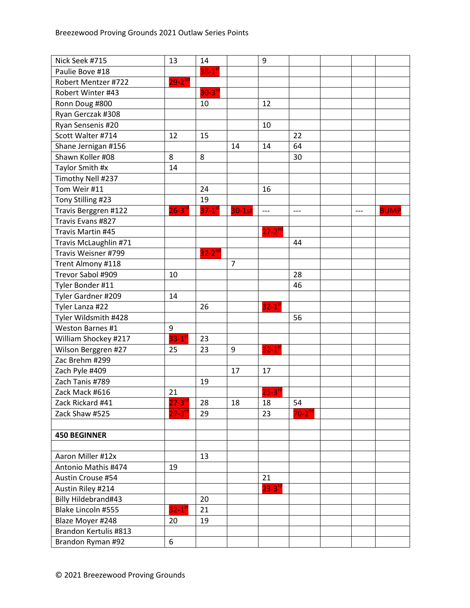| Nick Seek #715        | 13                     | 14                     |                | 9                    |             |     |             |
|-----------------------|------------------------|------------------------|----------------|----------------------|-------------|-----|-------------|
| Paulie Bove #18       |                        | $38 - 1$ <sup>st</sup> |                |                      |             |     |             |
| Robert Mentzer #722   | $29 - 2^{nd}$          |                        |                |                      |             |     |             |
| Robert Winter #43     |                        | $30 - 3^{rd}$          |                |                      |             |     |             |
| Ronn Doug #800        |                        | 10                     |                | 12                   |             |     |             |
| Ryan Gerczak #308     |                        |                        |                |                      |             |     |             |
| Ryan Sensenis #20     |                        |                        |                | 10                   |             |     |             |
| Scott Walter #714     | 12                     | 15                     |                |                      | 22          |     |             |
| Shane Jernigan #156   |                        |                        | 14             | 14                   | 64          |     |             |
| Shawn Koller #08      | 8                      | 8                      |                |                      | 30          |     |             |
| Taylor Smith #x       | 14                     |                        |                |                      |             |     |             |
| Timothy Nell #237     |                        |                        |                |                      |             |     |             |
| Tom Weir #11          |                        | 24                     |                | 16                   |             |     |             |
| Tony Stilling #23     |                        | 19                     |                |                      |             |     |             |
| Travis Berggren #122  | $26-3$ <sup>rd</sup>   | $37-1$ <sup>st</sup>   | $30-1st$       | $---$                | $---$       | --- | <b>BUMP</b> |
| Travis Evans #827     |                        |                        |                |                      |             |     |             |
| Travis Martin #45     |                        |                        |                | $27 - 2^{nd}$        |             |     |             |
| Travis McLaughlin #71 |                        |                        |                |                      | 44          |     |             |
| Travis Weisner #799   |                        | $32 - 2^{nd}$          |                |                      |             |     |             |
| Trent Almony #118     |                        |                        | $\overline{7}$ |                      |             |     |             |
| Trevor Sabol #909     | 10                     |                        |                |                      | 28          |     |             |
| Tyler Bonder #11      |                        |                        |                |                      | 46          |     |             |
| Tyler Gardner #209    | 14                     |                        |                |                      |             |     |             |
| Tyler Lanza #22       |                        | 26                     |                | $32-1$ <sup>st</sup> |             |     |             |
| Tyler Wildsmith #428  |                        |                        |                |                      | 56          |     |             |
| Weston Barnes #1      | 9                      |                        |                |                      |             |     |             |
| William Shockey #217  | $33 - 1$ <sup>st</sup> | 23                     |                |                      |             |     |             |
| Wilson Berggren #27   | 25                     | 23                     | 9              | $32-1$ <sup>st</sup> |             |     |             |
| Zac Brehm #299        |                        |                        |                |                      |             |     |             |
| Zach Pyle #409        |                        |                        | 17             | 17                   |             |     |             |
| Zach Tanis #789       |                        | 19                     |                |                      |             |     |             |
| Zack Mack #616        | 21                     |                        |                | $25 - 3^{10}$        |             |     |             |
| Zack Rickard #41      | $27 - 3^{ra}$          | 28                     | 18             | 18                   | 54          |     |             |
| Zack Shaw #525        | $27 - 3^{rd}$          | 29                     |                | 23                   | $70-2^{nd}$ |     |             |
|                       |                        |                        |                |                      |             |     |             |
| <b>450 BEGINNER</b>   |                        |                        |                |                      |             |     |             |
|                       |                        |                        |                |                      |             |     |             |
| Aaron Miller #12x     |                        | 13                     |                |                      |             |     |             |
| Antonio Mathis #474   | 19                     |                        |                |                      |             |     |             |
| Austin Crouse #54     |                        |                        |                | 21                   |             |     |             |
| Austin Riley #214     |                        |                        |                | $23 - 3^{rd}$        |             |     |             |
| Billy Hildebrand#43   |                        | 20                     |                |                      |             |     |             |
| Blake Lincoln #555    | $32 - 1$ <sup>st</sup> | 21                     |                |                      |             |     |             |
| Blaze Moyer #248      | 20                     | 19                     |                |                      |             |     |             |
| Brandon Kertulis #813 |                        |                        |                |                      |             |     |             |
| Brandon Ryman #92     | 6                      |                        |                |                      |             |     |             |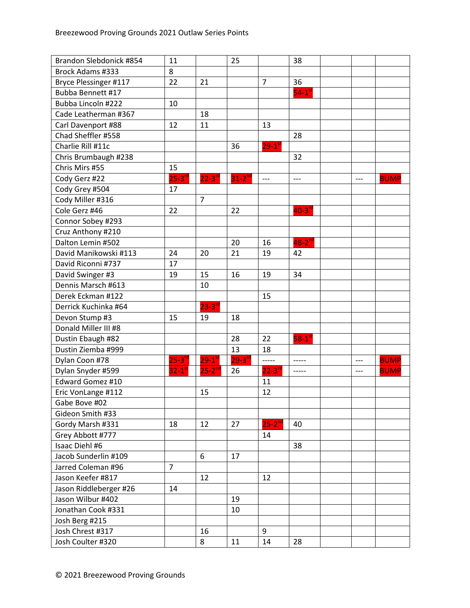| Brandon Slebdonick #854  | 11                     |                      | 25            |                      | 38                   |       |             |
|--------------------------|------------------------|----------------------|---------------|----------------------|----------------------|-------|-------------|
| <b>Brock Adams #333</b>  | 8                      |                      |               |                      |                      |       |             |
| Bryce Plessinger #117    | 22                     | 21                   |               | $\overline{7}$       | 36                   |       |             |
| <b>Bubba Bennett #17</b> |                        |                      |               |                      | $54-1$ <sup>st</sup> |       |             |
| Bubba Lincoln #222       | 10                     |                      |               |                      |                      |       |             |
| Cade Leatherman #367     |                        | 18                   |               |                      |                      |       |             |
| Carl Davenport #88       | 12                     | 11                   |               | 13                   |                      |       |             |
| Chad Sheffler #558       |                        |                      |               |                      | 28                   |       |             |
| Charlie Rill #11c        |                        |                      | 36            | $29-1$ <sup>st</sup> |                      |       |             |
| Chris Brumbaugh #238     |                        |                      |               |                      | 32                   |       |             |
| Chris Mirs #55           | 15                     |                      |               |                      |                      |       |             |
| Cody Gerz #22            | $25-3$ <sup>rd</sup>   | $22-3$ <sup>rd</sup> | $31-2^{nd}$   | $---$                | $---$                | $---$ | <b>BUMP</b> |
| Cody Grey #504           | 17                     |                      |               |                      |                      |       |             |
| Cody Miller #316         |                        | $\overline{7}$       |               |                      |                      |       |             |
| Cole Gerz #46            | 22                     |                      | 22            |                      | $40-3$ <sup>rd</sup> |       |             |
| Connor Sobey #293        |                        |                      |               |                      |                      |       |             |
| Cruz Anthony #210        |                        |                      |               |                      |                      |       |             |
| Dalton Lemin #502        |                        |                      | 20            | 16                   | $48-2^{nd}$          |       |             |
| David Manikowski #113    | 24                     | 20                   | 21            | 19                   | 42                   |       |             |
| David Riconni #737       | 17                     |                      |               |                      |                      |       |             |
| David Swinger #3         | 19                     | 15                   | 16            | 19                   | 34                   |       |             |
| Dennis Marsch #613       |                        | 10                   |               |                      |                      |       |             |
| Derek Eckman #122        |                        |                      |               | 15                   |                      |       |             |
| Derrick Kuchinka #64     |                        | $23 - 3^{rc}$        |               |                      |                      |       |             |
| Devon Stump #3           | 15                     | 19                   | 18            |                      |                      |       |             |
| Donald Miller III #8     |                        |                      |               |                      |                      |       |             |
| Dustin Ebaugh #82        |                        |                      | 28            | 22                   | $58-1$ <sup>st</sup> |       |             |
| Dustin Ziemba #999       |                        |                      | 13            | 18                   |                      |       |             |
| Dylan Coon #78           | $25 - 3^{rd}$          | $29-1$ <sup>st</sup> | $29 - 3^{rc}$ | -----                | -----                | $---$ | <b>BUMP</b> |
| Dylan Snyder #599        | $32 - 1$ <sup>st</sup> | $25 - 2^{nd}$        | 26            | $22 - 3^{ro}$        | -----                | $---$ | <b>BUMP</b> |
| Edward Gomez #10         |                        |                      |               | 11                   |                      |       |             |
| Eric VonLange #112       |                        | 15                   |               | 12                   |                      |       |             |
| Gabe Bove #02            |                        |                      |               |                      |                      |       |             |
| Gideon Smith #33         |                        |                      |               |                      |                      |       |             |
| Gordy Marsh #331         | 18                     | 12                   | 27            | $25 - 2^{nc}$        | 40                   |       |             |
| Grey Abbott #777         |                        |                      |               | 14                   |                      |       |             |
| Isaac Diehl #6           |                        |                      |               |                      | 38                   |       |             |
| Jacob Sunderlin #109     |                        | 6                    | 17            |                      |                      |       |             |
| Jarred Coleman #96       | $\overline{7}$         |                      |               |                      |                      |       |             |
| Jason Keefer #817        |                        | 12                   |               | 12                   |                      |       |             |
| Jason Riddleberger #26   | 14                     |                      |               |                      |                      |       |             |
| Jason Wilbur #402        |                        |                      | 19            |                      |                      |       |             |
| Jonathan Cook #331       |                        |                      | 10            |                      |                      |       |             |
| Josh Berg #215           |                        |                      |               |                      |                      |       |             |
| Josh Chrest #317         |                        | 16                   |               | 9                    |                      |       |             |
| Josh Coulter #320        |                        | 8                    | 11            | 14                   | 28                   |       |             |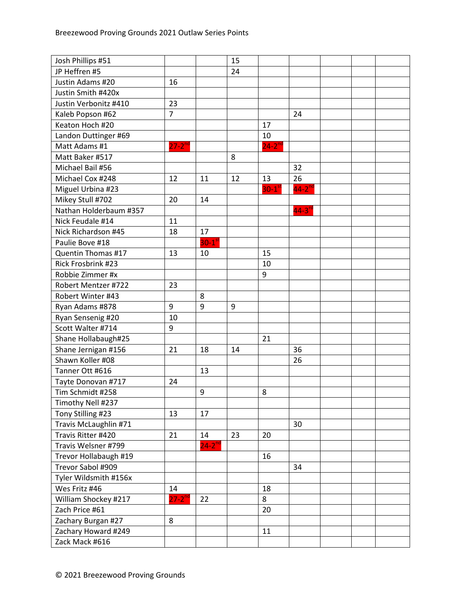| Josh Phillips #51      |                      |                        | 15 |                      |                      |  |  |
|------------------------|----------------------|------------------------|----|----------------------|----------------------|--|--|
| JP Heffren #5          |                      |                        | 24 |                      |                      |  |  |
| Justin Adams #20       | 16                   |                        |    |                      |                      |  |  |
| Justin Smith #420x     |                      |                        |    |                      |                      |  |  |
| Justin Verbonitz #410  | 23                   |                        |    |                      |                      |  |  |
| Kaleb Popson #62       | $\overline{7}$       |                        |    |                      | 24                   |  |  |
| Keaton Hoch #20        |                      |                        |    | 17                   |                      |  |  |
| Landon Duttinger #69   |                      |                        |    | 10                   |                      |  |  |
| Matt Adams #1          | $27 - 2^{nd}$        |                        |    | $24 - 2^{nd}$        |                      |  |  |
| Matt Baker #517        |                      |                        | 8  |                      |                      |  |  |
| Michael Bail #56       |                      |                        |    |                      | 32                   |  |  |
| Michael Cox #248       | 12                   | 11                     | 12 | 13                   | 26                   |  |  |
| Miguel Urbina #23      |                      |                        |    | $30-1$ <sup>st</sup> | $44-2$ <sup>nd</sup> |  |  |
| Mikey Stull #702       | 20                   | 14                     |    |                      |                      |  |  |
| Nathan Holderbaum #357 |                      |                        |    |                      | $44-3$ <sup>rd</sup> |  |  |
| Nick Feudale #14       | 11                   |                        |    |                      |                      |  |  |
| Nick Richardson #45    | 18                   | 17                     |    |                      |                      |  |  |
| Paulie Bove #18        |                      | $30 - 1$ <sup>st</sup> |    |                      |                      |  |  |
| Quentin Thomas #17     | 13                   | 10                     |    | 15                   |                      |  |  |
| Rick Frosbrink #23     |                      |                        |    | 10                   |                      |  |  |
| Robbie Zimmer #x       |                      |                        |    | 9                    |                      |  |  |
| Robert Mentzer #722    | 23                   |                        |    |                      |                      |  |  |
| Robert Winter #43      |                      | 8                      |    |                      |                      |  |  |
| Ryan Adams #878        | 9                    | 9                      | 9  |                      |                      |  |  |
| Ryan Sensenig #20      | 10                   |                        |    |                      |                      |  |  |
| Scott Walter #714      | 9                    |                        |    |                      |                      |  |  |
| Shane Hollabaugh#25    |                      |                        |    | 21                   |                      |  |  |
| Shane Jernigan #156    | 21                   | 18                     | 14 |                      | 36                   |  |  |
| Shawn Koller #08       |                      |                        |    |                      | 26                   |  |  |
| Tanner Ott #616        |                      | 13                     |    |                      |                      |  |  |
| Tayte Donovan #717     | 24                   |                        |    |                      |                      |  |  |
| Tim Schmidt #258       |                      | 9                      |    | 8                    |                      |  |  |
| Timothy Nell #237      |                      |                        |    |                      |                      |  |  |
| Tony Stilling #23      | 13                   | 17                     |    |                      |                      |  |  |
| Travis McLaughlin #71  |                      |                        |    |                      | 30                   |  |  |
| Travis Ritter #420     | 21                   | 14                     | 23 | 20                   |                      |  |  |
| Travis Welsner #799    |                      | $24 - 2^{nd}$          |    |                      |                      |  |  |
| Trevor Hollabaugh #19  |                      |                        |    | 16                   |                      |  |  |
| Trevor Sabol #909      |                      |                        |    |                      | 34                   |  |  |
| Tyler Wildsmith #156x  |                      |                        |    |                      |                      |  |  |
| Wes Fritz #46          | 14                   |                        |    | 18                   |                      |  |  |
| William Shockey #217   | $27-2$ <sup>nd</sup> | 22                     |    | 8                    |                      |  |  |
| Zach Price #61         |                      |                        |    | 20                   |                      |  |  |
| Zachary Burgan #27     | 8                    |                        |    |                      |                      |  |  |
| Zachary Howard #249    |                      |                        |    | 11                   |                      |  |  |
| Zack Mack #616         |                      |                        |    |                      |                      |  |  |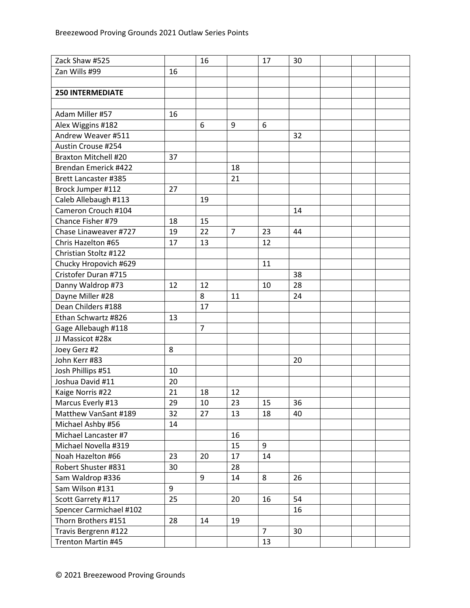| Zack Shaw #525              |    | 16             |                | 17             | 30 |  |  |
|-----------------------------|----|----------------|----------------|----------------|----|--|--|
| Zan Wills #99               | 16 |                |                |                |    |  |  |
|                             |    |                |                |                |    |  |  |
| <b>250 INTERMEDIATE</b>     |    |                |                |                |    |  |  |
|                             |    |                |                |                |    |  |  |
| Adam Miller #57             | 16 |                |                |                |    |  |  |
| Alex Wiggins #182           |    | 6              | 9              | 6              |    |  |  |
| Andrew Weaver #511          |    |                |                |                | 32 |  |  |
| Austin Crouse #254          |    |                |                |                |    |  |  |
| <b>Braxton Mitchell #20</b> | 37 |                |                |                |    |  |  |
| Brendan Emerick #422        |    |                | 18             |                |    |  |  |
| <b>Brett Lancaster #385</b> |    |                | 21             |                |    |  |  |
| Brock Jumper #112           | 27 |                |                |                |    |  |  |
| Caleb Allebaugh #113        |    | 19             |                |                |    |  |  |
| Cameron Crouch #104         |    |                |                |                | 14 |  |  |
| Chance Fisher #79           | 18 | 15             |                |                |    |  |  |
| Chase Linaweaver #727       | 19 | 22             | $\overline{7}$ | 23             | 44 |  |  |
| Chris Hazelton #65          | 17 | 13             |                | 12             |    |  |  |
| Christian Stoltz #122       |    |                |                |                |    |  |  |
| Chucky Hropovich #629       |    |                |                | 11             |    |  |  |
| Cristofer Duran #715        |    |                |                |                | 38 |  |  |
| Danny Waldrop #73           | 12 | 12             |                | 10             | 28 |  |  |
| Dayne Miller #28            |    | 8              | 11             |                | 24 |  |  |
| Dean Childers #188          |    | 17             |                |                |    |  |  |
| Ethan Schwartz #826         | 13 |                |                |                |    |  |  |
| Gage Allebaugh #118         |    | $\overline{7}$ |                |                |    |  |  |
| JJ Massicot #28x            |    |                |                |                |    |  |  |
| Joey Gerz #2                | 8  |                |                |                |    |  |  |
| John Kerr #83               |    |                |                |                | 20 |  |  |
| Josh Phillips #51           | 10 |                |                |                |    |  |  |
| Joshua David #11            | 20 |                |                |                |    |  |  |
| Kaige Norris #22            | 21 | 18             | 12             |                |    |  |  |
| Marcus Everly #13           | 29 | 10             | 23             | 15             | 36 |  |  |
| Matthew VanSant #189        | 32 | 27             | 13             | 18             | 40 |  |  |
| Michael Ashby #56           | 14 |                |                |                |    |  |  |
| Michael Lancaster #7        |    |                | 16             |                |    |  |  |
| Michael Novella #319        |    |                | 15             | 9              |    |  |  |
| Noah Hazelton #66           | 23 | 20             | 17             | 14             |    |  |  |
| Robert Shuster #831         | 30 |                | 28             |                |    |  |  |
| Sam Waldrop #336            |    | 9              | 14             | 8              | 26 |  |  |
| Sam Wilson #131             | 9  |                |                |                |    |  |  |
| Scott Garrety #117          | 25 |                | 20             | 16             | 54 |  |  |
| Spencer Carmichael #102     |    |                |                |                | 16 |  |  |
| Thorn Brothers #151         | 28 | 14             | 19             |                |    |  |  |
| Travis Bergrenn #122        |    |                |                | $\overline{7}$ | 30 |  |  |
| Trenton Martin #45          |    |                |                | 13             |    |  |  |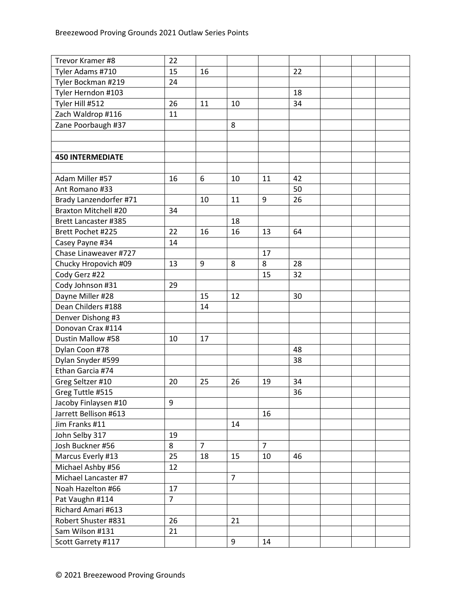| Trevor Kramer #8            | 22             |                |                |                |    |  |  |
|-----------------------------|----------------|----------------|----------------|----------------|----|--|--|
| Tyler Adams #710            | 15             | 16             |                |                | 22 |  |  |
| Tyler Bockman #219          | 24             |                |                |                |    |  |  |
| Tyler Herndon #103          |                |                |                |                | 18 |  |  |
| Tyler Hill #512             | 26             | 11             | 10             |                | 34 |  |  |
| Zach Waldrop #116           | 11             |                |                |                |    |  |  |
| Zane Poorbaugh #37          |                |                | 8              |                |    |  |  |
|                             |                |                |                |                |    |  |  |
|                             |                |                |                |                |    |  |  |
| <b>450 INTERMEDIATE</b>     |                |                |                |                |    |  |  |
|                             |                |                |                |                |    |  |  |
| Adam Miller #57             | 16             | 6              | 10             | 11             | 42 |  |  |
| Ant Romano #33              |                |                |                |                | 50 |  |  |
| Brady Lanzendorfer #71      |                | 10             | 11             | 9              | 26 |  |  |
| <b>Braxton Mitchell #20</b> | 34             |                |                |                |    |  |  |
| <b>Brett Lancaster #385</b> |                |                | 18             |                |    |  |  |
| Brett Pochet #225           | 22             | 16             | 16             | 13             | 64 |  |  |
| Casey Payne #34             | 14             |                |                |                |    |  |  |
| Chase Linaweaver #727       |                |                |                | 17             |    |  |  |
| Chucky Hropovich #09        | 13             | 9              | 8              | 8              | 28 |  |  |
| Cody Gerz #22               |                |                |                | 15             | 32 |  |  |
| Cody Johnson #31            | 29             |                |                |                |    |  |  |
| Dayne Miller #28            |                | 15             | 12             |                | 30 |  |  |
| Dean Childers #188          |                | 14             |                |                |    |  |  |
| Denver Dishong #3           |                |                |                |                |    |  |  |
| Donovan Crax #114           |                |                |                |                |    |  |  |
| Dustin Mallow #58           | 10             | 17             |                |                |    |  |  |
| Dylan Coon #78              |                |                |                |                | 48 |  |  |
| Dylan Snyder #599           |                |                |                |                | 38 |  |  |
| Ethan Garcia #74            |                |                |                |                |    |  |  |
| Greg Seltzer #10            | 20             | 25             | 26             | 19             | 34 |  |  |
| Greg Tuttle #515            |                |                |                |                | 36 |  |  |
| Jacoby Finlaysen #10        | 9              |                |                |                |    |  |  |
| Jarrett Bellison #613       |                |                |                | 16             |    |  |  |
| Jim Franks #11              |                |                | 14             |                |    |  |  |
| John Selby 317              | 19             |                |                |                |    |  |  |
| Josh Buckner #56            | 8              | $\overline{7}$ |                | $\overline{7}$ |    |  |  |
| Marcus Everly #13           | 25             | 18             | 15             | 10             | 46 |  |  |
| Michael Ashby #56           | 12             |                |                |                |    |  |  |
| Michael Lancaster #7        |                |                | $\overline{7}$ |                |    |  |  |
| Noah Hazelton #66           | 17             |                |                |                |    |  |  |
| Pat Vaughn #114             | $\overline{7}$ |                |                |                |    |  |  |
| Richard Amari #613          |                |                |                |                |    |  |  |
| Robert Shuster #831         | 26             |                | 21             |                |    |  |  |
| Sam Wilson #131             | 21             |                |                |                |    |  |  |
| Scott Garrety #117          |                |                | 9              | 14             |    |  |  |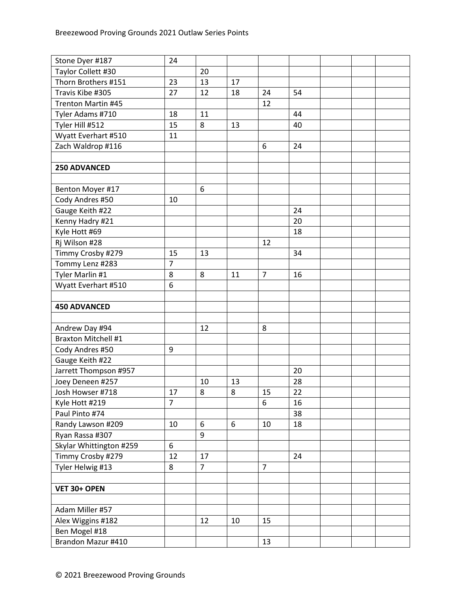| Stone Dyer #187                     | 24             |                |    |                |    |  |  |
|-------------------------------------|----------------|----------------|----|----------------|----|--|--|
| Taylor Collett #30                  |                | 20             |    |                |    |  |  |
| Thorn Brothers #151                 | 23             | 13             | 17 |                |    |  |  |
| Travis Kibe #305                    | 27             | 12             | 18 | 24             | 54 |  |  |
| Trenton Martin #45                  |                |                |    | 12             |    |  |  |
| Tyler Adams #710                    | 18             | 11             |    |                | 44 |  |  |
| Tyler Hill #512                     | 15             | 8              | 13 |                | 40 |  |  |
| Wyatt Everhart #510                 | 11             |                |    |                |    |  |  |
| Zach Waldrop #116                   |                |                |    | 6              | 24 |  |  |
|                                     |                |                |    |                |    |  |  |
| <b>250 ADVANCED</b>                 |                |                |    |                |    |  |  |
|                                     |                |                |    |                |    |  |  |
| Benton Moyer #17                    |                | 6              |    |                |    |  |  |
| Cody Andres #50                     | 10             |                |    |                |    |  |  |
| Gauge Keith #22                     |                |                |    |                | 24 |  |  |
| Kenny Hadry #21                     |                |                |    |                | 20 |  |  |
| Kyle Hott #69                       |                |                |    |                | 18 |  |  |
| Rj Wilson #28                       |                |                |    | 12             |    |  |  |
| Timmy Crosby #279                   | 15             | 13             |    |                | 34 |  |  |
| Tommy Lenz #283                     | 7              |                |    |                |    |  |  |
| Tyler Marlin #1                     | 8              | 8              | 11 | $\overline{7}$ | 16 |  |  |
| Wyatt Everhart #510                 | 6              |                |    |                |    |  |  |
|                                     |                |                |    |                |    |  |  |
| <b>450 ADVANCED</b>                 |                |                |    |                |    |  |  |
|                                     |                |                |    |                |    |  |  |
|                                     |                |                |    |                |    |  |  |
| Andrew Day #94                      |                | 12             |    | 8              |    |  |  |
| <b>Braxton Mitchell #1</b>          |                |                |    |                |    |  |  |
| Cody Andres #50                     | 9              |                |    |                |    |  |  |
| Gauge Keith #22                     |                |                |    |                |    |  |  |
| Jarrett Thompson #957               |                |                |    |                | 20 |  |  |
| Joey Deneen #257                    |                | 10             | 13 |                | 28 |  |  |
| Josh Howser #718                    | 17             | 8              | 8  | 15             | 22 |  |  |
| Kyle Hott #219                      | $\overline{7}$ |                |    | 6              | 16 |  |  |
| Paul Pinto #74                      |                |                |    |                | 38 |  |  |
| Randy Lawson #209                   | 10             | 6              | 6  | 10             | 18 |  |  |
| Ryan Rassa #307                     |                | 9              |    |                |    |  |  |
| Skylar Whittington #259             | 6              |                |    |                |    |  |  |
| Timmy Crosby #279                   | 12             | 17             |    |                | 24 |  |  |
| Tyler Helwig #13                    | 8              | $\overline{7}$ |    | $\overline{7}$ |    |  |  |
|                                     |                |                |    |                |    |  |  |
| VET 30+ OPEN                        |                |                |    |                |    |  |  |
|                                     |                |                |    |                |    |  |  |
| Adam Miller #57                     |                |                |    |                |    |  |  |
| Alex Wiggins #182                   |                | 12             | 10 | 15             |    |  |  |
| Ben Mogel #18<br>Brandon Mazur #410 |                |                |    | 13             |    |  |  |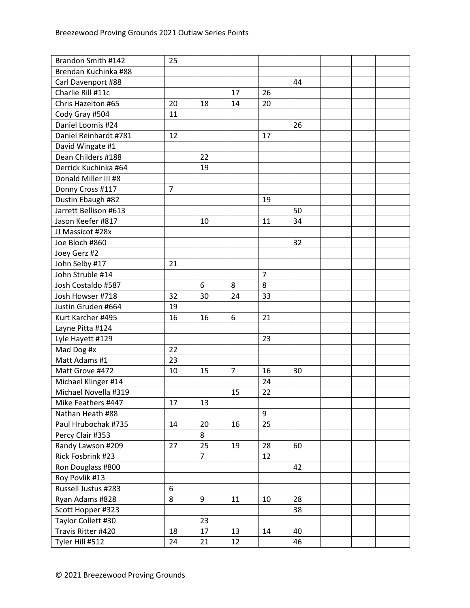| Brandon Smith #142    | 25             |                |                |                |    |  |  |
|-----------------------|----------------|----------------|----------------|----------------|----|--|--|
| Brendan Kuchinka #88  |                |                |                |                |    |  |  |
| Carl Davenport #88    |                |                |                |                | 44 |  |  |
| Charlie Rill #11c     |                |                | 17             | 26             |    |  |  |
| Chris Hazelton #65    | 20             | 18             | 14             | 20             |    |  |  |
| Cody Gray #504        | 11             |                |                |                |    |  |  |
| Daniel Loomis #24     |                |                |                |                | 26 |  |  |
| Daniel Reinhardt #781 | 12             |                |                | 17             |    |  |  |
| David Wingate #1      |                |                |                |                |    |  |  |
| Dean Childers #188    |                | 22             |                |                |    |  |  |
| Derrick Kuchinka #64  |                | 19             |                |                |    |  |  |
| Donald Miller III #8  |                |                |                |                |    |  |  |
| Donny Cross #117      | $\overline{7}$ |                |                |                |    |  |  |
| Dustin Ebaugh #82     |                |                |                | 19             |    |  |  |
| Jarrett Bellison #613 |                |                |                |                | 50 |  |  |
| Jason Keefer #817     |                | 10             |                | 11             | 34 |  |  |
| JJ Massicot #28x      |                |                |                |                |    |  |  |
| Joe Bloch #860        |                |                |                |                | 32 |  |  |
| Joey Gerz #2          |                |                |                |                |    |  |  |
| John Selby #17        | 21             |                |                |                |    |  |  |
| John Struble #14      |                |                |                | $\overline{7}$ |    |  |  |
| Josh Costaldo #587    |                | 6              | 8              | 8              |    |  |  |
| Josh Howser #718      | 32             | 30             | 24             | 33             |    |  |  |
| Justin Gruden #664    | 19             |                |                |                |    |  |  |
| Kurt Karcher #495     | 16             | 16             | 6              | 21             |    |  |  |
| Layne Pitta #124      |                |                |                |                |    |  |  |
| Lyle Hayett #129      |                |                |                | 23             |    |  |  |
| Mad Dog #x            | 22             |                |                |                |    |  |  |
| Matt Adams #1         | 23             |                |                |                |    |  |  |
| Matt Grove #472       | 10             | 15             | $\overline{7}$ | 16             | 30 |  |  |
| Michael Klinger #14   |                |                |                | 24             |    |  |  |
| Michael Novella #319  |                |                | 15             | 22             |    |  |  |
| Mike Feathers #447    | 17             | 13             |                |                |    |  |  |
| Nathan Heath #88      |                |                |                | 9              |    |  |  |
| Paul Hrubochak #735   | 14             | 20             | 16             | 25             |    |  |  |
| Percy Clair #353      |                | 8              |                |                |    |  |  |
| Randy Lawson #209     | 27             | 25             | 19             | 28             | 60 |  |  |
| Rick Fosbrink #23     |                | $\overline{7}$ |                | 12             |    |  |  |
| Ron Douglass #800     |                |                |                |                | 42 |  |  |
| Roy Povlik #13        |                |                |                |                |    |  |  |
| Russell Justus #283   | 6              |                |                |                |    |  |  |
| Ryan Adams #828       | 8              | 9              | 11             | 10             | 28 |  |  |
| Scott Hopper #323     |                |                |                |                | 38 |  |  |
| Taylor Collett #30    |                | 23             |                |                |    |  |  |
| Travis Ritter #420    | 18             | 17             | 13             | 14             | 40 |  |  |
| Tyler Hill #512       | 24             | 21             | 12             |                | 46 |  |  |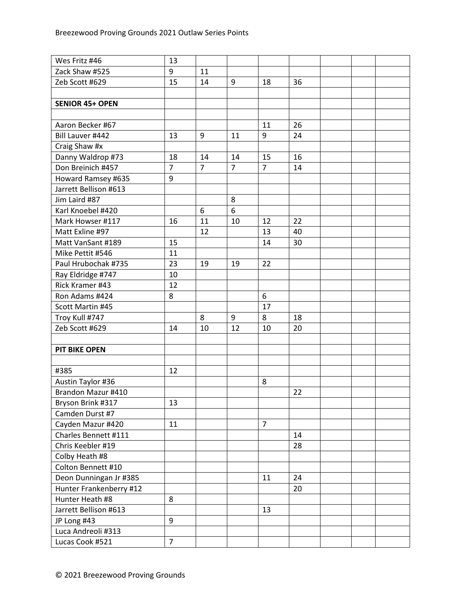| Wes Fritz #46                     | 13             |                |                |                |    |  |  |
|-----------------------------------|----------------|----------------|----------------|----------------|----|--|--|
| Zack Shaw #525                    | 9              | 11             |                |                |    |  |  |
| Zeb Scott #629                    | 15             | 14             | 9              | 18             | 36 |  |  |
|                                   |                |                |                |                |    |  |  |
| <b>SENIOR 45+ OPEN</b>            |                |                |                |                |    |  |  |
|                                   |                |                |                |                |    |  |  |
| Aaron Becker #67                  |                |                |                | 11             | 26 |  |  |
| Bill Lauver #442                  | 13             | 9              | 11             | 9              | 24 |  |  |
| Craig Shaw #x                     |                |                |                |                |    |  |  |
| Danny Waldrop #73                 | 18             | 14             | 14             | 15             | 16 |  |  |
| Don Breinich #457                 | $\overline{7}$ | $\overline{7}$ | $\overline{7}$ | $\overline{7}$ | 14 |  |  |
| Howard Ramsey #635                | 9              |                |                |                |    |  |  |
| Jarrett Bellison #613             |                |                |                |                |    |  |  |
| Jim Laird #87                     |                |                | 8              |                |    |  |  |
| Karl Knoebel #420                 |                | 6              | 6              |                |    |  |  |
| Mark Howser #117                  | 16             | 11             | 10             | 12             | 22 |  |  |
| Matt Exline #97                   |                | 12             |                | 13             | 40 |  |  |
| Matt VanSant #189                 | 15             |                |                | 14             | 30 |  |  |
| Mike Pettit #546                  | 11             |                |                |                |    |  |  |
| Paul Hrubochak #735               | 23             | 19             | 19             | 22             |    |  |  |
| Ray Eldridge #747                 | 10             |                |                |                |    |  |  |
| Rick Kramer #43                   | 12             |                |                |                |    |  |  |
| Ron Adams #424                    | 8              |                |                | 6              |    |  |  |
| Scott Martin #45                  |                |                |                | 17             |    |  |  |
| Troy Kull #747                    |                | 8              | 9              | 8              | 18 |  |  |
| Zeb Scott #629                    | 14             | 10             | 12             | 10             | 20 |  |  |
|                                   |                |                |                |                |    |  |  |
| <b>PIT BIKE OPEN</b>              |                |                |                |                |    |  |  |
|                                   |                |                |                |                |    |  |  |
| #385                              | 12             |                |                |                |    |  |  |
| Austin Taylor #36                 |                |                |                | 8              |    |  |  |
| Brandon Mazur #410                |                |                |                |                | 22 |  |  |
| Bryson Brink #317                 | 13             |                |                |                |    |  |  |
| Camden Durst #7                   |                |                |                |                |    |  |  |
| Cayden Mazur #420                 | 11             |                |                | $\overline{7}$ |    |  |  |
| Charles Bennett #111              |                |                |                |                | 14 |  |  |
| Chris Keebler #19                 |                |                |                |                | 28 |  |  |
| Colby Heath #8                    |                |                |                |                |    |  |  |
| Colton Bennett #10                |                |                |                |                |    |  |  |
| Deon Dunningan Jr #385            |                |                |                | 11             | 24 |  |  |
| Hunter Frankenberry #12           |                |                |                |                | 20 |  |  |
| Hunter Heath #8                   | 8              |                |                |                |    |  |  |
| Jarrett Bellison #613             |                |                |                | 13             |    |  |  |
|                                   | 9              |                |                |                |    |  |  |
| JP Long #43<br>Luca Andreoli #313 |                |                |                |                |    |  |  |
|                                   |                |                |                |                |    |  |  |
| Lucas Cook #521                   | $\overline{7}$ |                |                |                |    |  |  |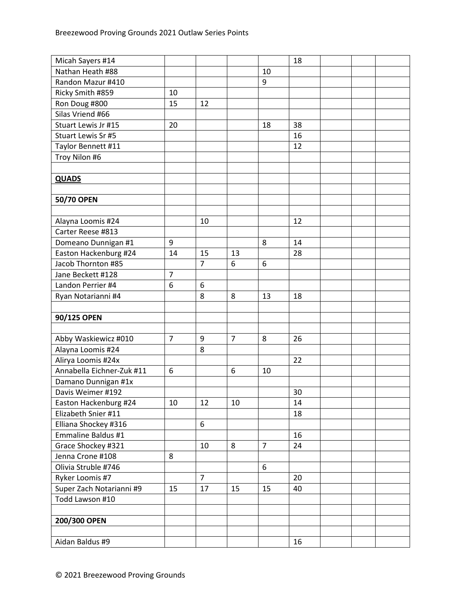| Micah Sayers #14          |                |                |                |                | 18 |  |  |
|---------------------------|----------------|----------------|----------------|----------------|----|--|--|
| Nathan Heath #88          |                |                |                | 10             |    |  |  |
| Randon Mazur #410         |                |                |                | 9              |    |  |  |
| Ricky Smith #859          | 10             |                |                |                |    |  |  |
| Ron Doug #800             | 15             | 12             |                |                |    |  |  |
| Silas Vriend #66          |                |                |                |                |    |  |  |
| Stuart Lewis Jr #15       | 20             |                |                | 18             | 38 |  |  |
| Stuart Lewis Sr #5        |                |                |                |                | 16 |  |  |
| Taylor Bennett #11        |                |                |                |                | 12 |  |  |
| Troy Nilon #6             |                |                |                |                |    |  |  |
|                           |                |                |                |                |    |  |  |
| <b>QUADS</b>              |                |                |                |                |    |  |  |
|                           |                |                |                |                |    |  |  |
| 50/70 OPEN                |                |                |                |                |    |  |  |
|                           |                |                |                |                |    |  |  |
| Alayna Loomis #24         |                | 10             |                |                | 12 |  |  |
| Carter Reese #813         |                |                |                |                |    |  |  |
| Domeano Dunnigan #1       | 9              |                |                | 8              | 14 |  |  |
| Easton Hackenburg #24     | 14             | 15             | 13             |                | 28 |  |  |
| Jacob Thornton #85        |                | $\overline{7}$ | 6              | 6              |    |  |  |
| Jane Beckett #128         | $\overline{7}$ |                |                |                |    |  |  |
| Landon Perrier #4         | 6              | 6              |                |                |    |  |  |
| Ryan Notarianni #4        |                | 8              | 8              | 13             | 18 |  |  |
|                           |                |                |                |                |    |  |  |
| 90/125 OPEN               |                |                |                |                |    |  |  |
|                           |                |                |                |                |    |  |  |
| Abby Waskiewicz #010      | $\overline{7}$ | 9              | $\overline{7}$ | 8              | 26 |  |  |
| Alayna Loomis #24         |                | 8              |                |                |    |  |  |
| Alirya Loomis #24x        |                |                |                |                | 22 |  |  |
| Annabella Eichner-Zuk #11 | 6              |                | 6              | 10             |    |  |  |
| Damano Dunnigan #1x       |                |                |                |                |    |  |  |
| Davis Weimer #192         |                |                |                |                | 30 |  |  |
| Easton Hackenburg #24     | 10             | 12             | 10             |                | 14 |  |  |
| Elizabeth Snier #11       |                |                |                |                | 18 |  |  |
| Elliana Shockey #316      |                | 6              |                |                |    |  |  |
| Emmaline Baldus #1        |                |                |                |                | 16 |  |  |
| Grace Shockey #321        |                | 10             | 8              | $\overline{7}$ | 24 |  |  |
| Jenna Crone #108          | 8              |                |                |                |    |  |  |
| Olivia Struble #746       |                |                |                | 6              |    |  |  |
| Ryker Loomis #7           |                | $\overline{7}$ |                |                | 20 |  |  |
| Super Zach Notarianni #9  | 15             | 17             | 15             | 15             | 40 |  |  |
| Todd Lawson #10           |                |                |                |                |    |  |  |
|                           |                |                |                |                |    |  |  |
| 200/300 OPEN              |                |                |                |                |    |  |  |
|                           |                |                |                |                |    |  |  |
| Aidan Baldus #9           |                |                |                |                | 16 |  |  |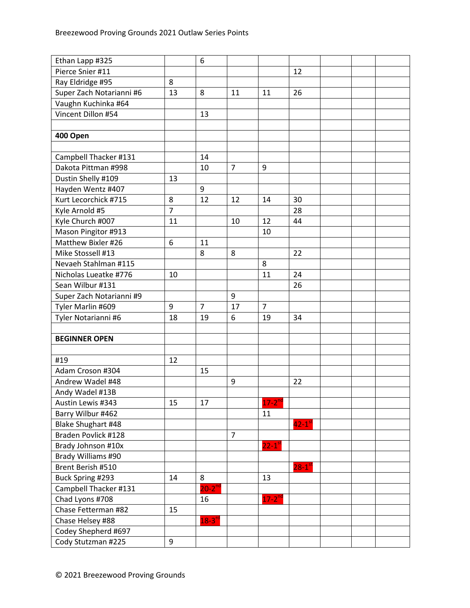| Ethan Lapp #325          |                | 6              |                |                      |                        |  |  |
|--------------------------|----------------|----------------|----------------|----------------------|------------------------|--|--|
| Pierce Snier #11         |                |                |                |                      | 12                     |  |  |
| Ray Eldridge #95         | 8              |                |                |                      |                        |  |  |
| Super Zach Notarianni #6 | 13             | 8              | 11             | 11                   | 26                     |  |  |
| Vaughn Kuchinka #64      |                |                |                |                      |                        |  |  |
| Vincent Dillon #54       |                | 13             |                |                      |                        |  |  |
|                          |                |                |                |                      |                        |  |  |
| 400 Open                 |                |                |                |                      |                        |  |  |
|                          |                |                |                |                      |                        |  |  |
| Campbell Thacker #131    |                | 14             |                |                      |                        |  |  |
| Dakota Pittman #998      |                | 10             | 7              | 9                    |                        |  |  |
| Dustin Shelly #109       | 13             |                |                |                      |                        |  |  |
| Hayden Wentz #407        |                | 9              |                |                      |                        |  |  |
| Kurt Lecorchick #715     | 8              | 12             | 12             | 14                   | 30                     |  |  |
| Kyle Arnold #5           | $\overline{7}$ |                |                |                      | 28                     |  |  |
| Kyle Church #007         | 11             |                | 10             | 12                   | 44                     |  |  |
| Mason Pingitor #913      |                |                |                | 10                   |                        |  |  |
| Matthew Bixler #26       | 6              | 11             |                |                      |                        |  |  |
| Mike Stossell #13        |                | 8              | 8              |                      | 22                     |  |  |
| Nevaeh Stahlman #115     |                |                |                | 8                    |                        |  |  |
| Nicholas Lueatke #776    | 10             |                |                | 11                   | 24                     |  |  |
| Sean Wilbur #131         |                |                |                |                      | 26                     |  |  |
| Super Zach Notarianni #9 |                |                | 9              |                      |                        |  |  |
| Tyler Marlin #609        | 9              | $\overline{7}$ | 17             | $\overline{7}$       |                        |  |  |
| Tyler Notarianni #6      | 18             | 19             | 6              | 19                   | 34                     |  |  |
|                          |                |                |                |                      |                        |  |  |
| <b>BEGINNER OPEN</b>     |                |                |                |                      |                        |  |  |
|                          |                |                |                |                      |                        |  |  |
| #19                      | 12             |                |                |                      |                        |  |  |
| Adam Croson #304         |                | 15             |                |                      |                        |  |  |
| Andrew Wadel #48         |                |                | 9              |                      | 22                     |  |  |
| Andy Wadel #13B          |                |                |                |                      |                        |  |  |
| Austin Lewis #343        | 15             | 17             |                | $17 - 2^{nd}$        |                        |  |  |
| Barry Wilbur #462        |                |                |                | 11                   |                        |  |  |
| Blake Shughart #48       |                |                |                |                      | $42 - 1$ <sup>st</sup> |  |  |
| Braden Povlick #128      |                |                | $\overline{7}$ |                      |                        |  |  |
| Brady Johnson #10x       |                |                |                | $22-1$ <sup>st</sup> |                        |  |  |
| Brady Williams #90       |                |                |                |                      |                        |  |  |
| Brent Berish #510        |                |                |                |                      | $28-1$ <sup>st</sup>   |  |  |
| Buck Spring #293         | 14             | 8              |                | 13                   |                        |  |  |
| Campbell Thacker #131    |                | $20-2^{nd}$    |                |                      |                        |  |  |
| Chad Lyons #708          |                | 16             |                | $17 - 2^{nd}$        |                        |  |  |
| Chase Fetterman #82      | 15             |                |                |                      |                        |  |  |
| Chase Helsey #88         |                | $18 - 3^{10}$  |                |                      |                        |  |  |
| Codey Shepherd #697      |                |                |                |                      |                        |  |  |
| Cody Stutzman #225       | 9              |                |                |                      |                        |  |  |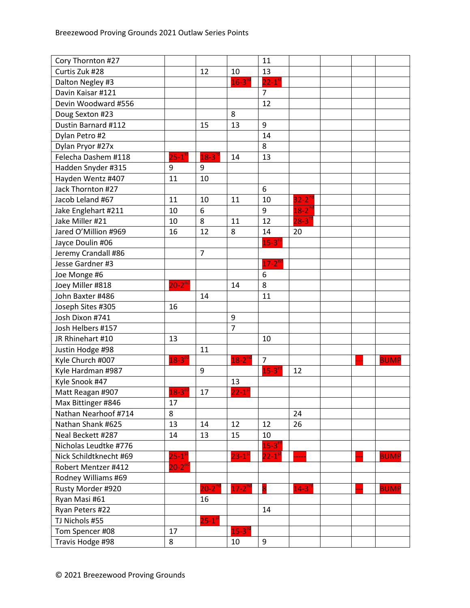| Cory Thornton #27      |                      |                |                      | 11                     |                      |  |             |
|------------------------|----------------------|----------------|----------------------|------------------------|----------------------|--|-------------|
| Curtis Zuk #28         |                      | 12             | 10                   | 13                     |                      |  |             |
| Dalton Negley #3       |                      |                | $16 - 3^{10}$        | $22-1$ <sup>st</sup>   |                      |  |             |
| Davin Kaisar #121      |                      |                |                      | $\overline{7}$         |                      |  |             |
| Devin Woodward #556    |                      |                |                      | 12                     |                      |  |             |
| Doug Sexton #23        |                      |                | 8                    |                        |                      |  |             |
| Dustin Barnard #112    |                      | 15             | 13                   | 9                      |                      |  |             |
| Dylan Petro #2         |                      |                |                      | 14                     |                      |  |             |
| Dylan Pryor #27x       |                      |                |                      | 8                      |                      |  |             |
| Felecha Dashem #118    | $25-1$ <sup>st</sup> | $18 - 3^{r}$   | 14                   | 13                     |                      |  |             |
| Hadden Snyder #315     | 9                    | 9              |                      |                        |                      |  |             |
| Hayden Wentz #407      | 11                   | 10             |                      |                        |                      |  |             |
| Jack Thornton #27      |                      |                |                      | 6                      |                      |  |             |
| Jacob Leland #67       | 11                   | 10             | 11                   | 10                     | $32-2$ <sup>nd</sup> |  |             |
| Jake Englehart #211    | 10                   | 6              |                      | 9                      | $18-2^{nd}$          |  |             |
| Jake Miller #21        | 10                   | 8              | 11                   | 12                     | $28-3$ <sup>rd</sup> |  |             |
| Jared O'Million #969   | 16                   | 12             | 8                    | 14                     | 20                   |  |             |
| Jayce Doulin #06       |                      |                |                      | $15-3$ <sup>rc</sup>   |                      |  |             |
| Jeremy Crandall #86    |                      | $\overline{7}$ |                      |                        |                      |  |             |
| Jesse Gardner #3       |                      |                |                      | $17-2$ <sup>nd</sup>   |                      |  |             |
| Joe Monge #6           |                      |                |                      | 6                      |                      |  |             |
| Joey Miller #818       | $20-2^{nd}$          |                | 14                   | 8                      |                      |  |             |
| John Baxter #486       |                      | 14             |                      | 11                     |                      |  |             |
| Joseph Sites #305      | 16                   |                |                      |                        |                      |  |             |
| Josh Dixon #741        |                      |                | 9                    |                        |                      |  |             |
| Josh Helbers #157      |                      |                | $\overline{7}$       |                        |                      |  |             |
| JR Rhinehart #10       | 13                   |                |                      | 10                     |                      |  |             |
| Justin Hodge #98       |                      | 11             |                      |                        |                      |  |             |
| Kyle Church #007       | $18 - 3^{n}$         |                | $18 - 2^{nd}$        | $\overline{7}$         |                      |  | <b>BUMP</b> |
| Kyle Hardman #987      |                      | 9              |                      | $15 - 3^{rd}$          | 12                   |  |             |
| Kyle Snook #47         |                      |                | 13                   |                        |                      |  |             |
| Matt Reagan #907       | $18 - 3^{10}$        | 17             | $22-1$ s             |                        |                      |  |             |
| Max Bittinger #846     | 17                   |                |                      |                        |                      |  |             |
| Nathan Nearhoof #714   | 8                    |                |                      |                        | 24                   |  |             |
| Nathan Shank #625      | 13                   | 14             | 12                   | 12                     | 26                   |  |             |
| Neal Beckett #287      | 14                   | 13             | 15                   | 10                     |                      |  |             |
| Nicholas Leudtke #776  |                      |                |                      | $15-3$ <sup>rd</sup>   |                      |  |             |
| Nick Schildtknecht #69 | $25-1$ <sup>st</sup> |                | $23-1$ <sup>st</sup> | $22 - 1$ <sup>st</sup> |                      |  | <b>BUMP</b> |
| Robert Mentzer #412    | $20-2^{nd}$          |                |                      |                        |                      |  |             |
| Rodney Williams #69    |                      |                |                      |                        |                      |  |             |
| Rusty Morder #920      |                      | $20-2^{nd}$    | $17-2^{nd}$          | 8                      | $14-3$ <sup>rd</sup> |  | <b>BUMP</b> |
| Ryan Masi #61          |                      | 16             |                      |                        |                      |  |             |
| Ryan Peters #22        |                      |                |                      | 14                     |                      |  |             |
| TJ Nichols #55         |                      | $25 - 1^{s}$   |                      |                        |                      |  |             |
| Tom Spencer #08        | 17                   |                | $15 - 3^{10}$        |                        |                      |  |             |
| Travis Hodge #98       | 8                    |                | 10                   | 9                      |                      |  |             |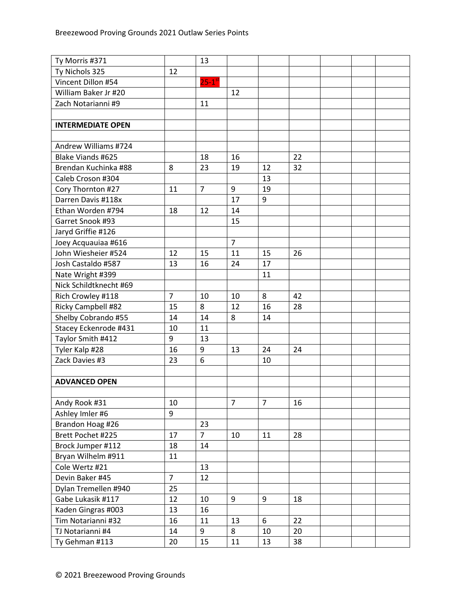| Ty Morris #371           |                | 13                   |                |    |    |  |
|--------------------------|----------------|----------------------|----------------|----|----|--|
| Ty Nichols 325           | 12             |                      |                |    |    |  |
| Vincent Dillon #54       |                | $25-1$ <sup>st</sup> |                |    |    |  |
| William Baker Jr #20     |                |                      | 12             |    |    |  |
| Zach Notarianni #9       |                | 11                   |                |    |    |  |
|                          |                |                      |                |    |    |  |
| <b>INTERMEDIATE OPEN</b> |                |                      |                |    |    |  |
|                          |                |                      |                |    |    |  |
| Andrew Williams #724     |                |                      |                |    |    |  |
| Blake Viands #625        |                | 18                   | 16             |    | 22 |  |
| Brendan Kuchinka #88     | 8              | 23                   | 19             | 12 | 32 |  |
| Caleb Croson #304        |                |                      |                | 13 |    |  |
| Cory Thornton #27        | 11             | $\overline{7}$       | 9              | 19 |    |  |
| Darren Davis #118x       |                |                      | 17             | 9  |    |  |
| Ethan Worden #794        | 18             | 12                   | 14             |    |    |  |
| Garret Snook #93         |                |                      | 15             |    |    |  |
| Jaryd Griffie #126       |                |                      |                |    |    |  |
| Joey Acquauiaa #616      |                |                      | $\overline{7}$ |    |    |  |
| John Wiesheier #524      | 12             | 15                   | 11             | 15 | 26 |  |
| Josh Castaldo #587       | 13             | 16                   | 24             | 17 |    |  |
| Nate Wright #399         |                |                      |                | 11 |    |  |
| Nick Schildtknecht #69   |                |                      |                |    |    |  |
| Rich Crowley #118        | $\overline{7}$ | 10                   | 10             | 8  | 42 |  |
| Ricky Campbell #82       | 15             | 8                    | 12             | 16 | 28 |  |
| Shelby Cobrando #55      | 14             | 14                   | 8              | 14 |    |  |
| Stacey Eckenrode #431    | 10             | 11                   |                |    |    |  |
| Taylor Smith #412        | 9              | 13                   |                |    |    |  |
| Tyler Kalp #28           | 16             | 9                    | 13             | 24 | 24 |  |
| Zack Davies #3           | 23             | 6                    |                | 10 |    |  |
|                          |                |                      |                |    |    |  |
| <b>ADVANCED OPEN</b>     |                |                      |                |    |    |  |
|                          |                |                      |                |    |    |  |
| Andy Rook #31            | 10             |                      | 7              | 7  | 16 |  |
| Ashley Imler #6          | 9              |                      |                |    |    |  |
| Brandon Hoag #26         |                | 23                   |                |    |    |  |
| Brett Pochet #225        | 17             | 7 <sup>1</sup>       | 10             | 11 | 28 |  |
| Brock Jumper #112        | 18             | 14                   |                |    |    |  |
| Bryan Wilhelm #911       | 11             |                      |                |    |    |  |
| Cole Wertz #21           |                | 13                   |                |    |    |  |
| Devin Baker #45          | $\overline{7}$ | 12                   |                |    |    |  |
| Dylan Tremellen #940     | 25             |                      |                |    |    |  |
| Gabe Lukasik #117        | 12             | 10                   | 9              | 9  | 18 |  |
| Kaden Gingras #003       | 13             | 16                   |                |    |    |  |
| Tim Notarianni #32       | 16             | 11                   | 13             | 6  | 22 |  |
| TJ Notarianni #4         | 14             | 9                    | 8              | 10 | 20 |  |
| Ty Gehman #113           | 20             | 15                   | 11             | 13 | 38 |  |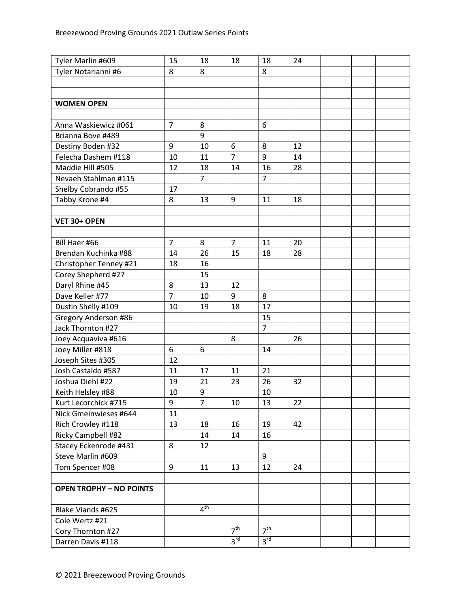| Tyler Marlin #609              | 15             | 18              | 18              | 18              | 24 |  |  |
|--------------------------------|----------------|-----------------|-----------------|-----------------|----|--|--|
| Tyler Notarianni #6            | 8              | 8               |                 | 8               |    |  |  |
|                                |                |                 |                 |                 |    |  |  |
|                                |                |                 |                 |                 |    |  |  |
| <b>WOMEN OPEN</b>              |                |                 |                 |                 |    |  |  |
|                                |                |                 |                 |                 |    |  |  |
| Anna Waskiewicz #061           | $\overline{7}$ | 8               |                 | 6               |    |  |  |
| Brianna Bove #489              |                | 9               |                 |                 |    |  |  |
| Destiny Boden #32              | 9              | 10              | 6               | 8               | 12 |  |  |
| Felecha Dashem #118            | 10             | 11              | $\overline{7}$  | 9               | 14 |  |  |
| Maddie Hill #505               | 12             | 18              | 14              | 16              | 28 |  |  |
| Nevaeh Stahlman #115           |                | $\overline{7}$  |                 | $\overline{7}$  |    |  |  |
| Shelby Cobrando #55            | 17             |                 |                 |                 |    |  |  |
| Tabby Krone #4                 | 8              | 13              | 9               | 11              | 18 |  |  |
|                                |                |                 |                 |                 |    |  |  |
| VET 30+ OPEN                   |                |                 |                 |                 |    |  |  |
|                                |                |                 |                 |                 |    |  |  |
| Bill Haer #66                  | $\overline{7}$ | 8               | $\overline{7}$  | 11              | 20 |  |  |
| Brendan Kuchinka #88           | 14             | 26              | 15              | 18              | 28 |  |  |
| Christopher Tenney #21         | 18             | 16              |                 |                 |    |  |  |
| Corey Shepherd #27             |                | 15              |                 |                 |    |  |  |
| Daryl Rhine #45                | 8              | 13              | 12              |                 |    |  |  |
| Dave Keller #77                | $\overline{7}$ | 10              | 9               | 8               |    |  |  |
| Dustin Shelly #109             | 10             | 19              | 18              | 17              |    |  |  |
| Gregory Anderson #86           |                |                 |                 | 15              |    |  |  |
| Jack Thornton #27              |                |                 |                 | $\overline{7}$  |    |  |  |
| Joey Acquaviva #616            |                |                 | 8               |                 | 26 |  |  |
| Joey Miller #818               | 6              | 6               |                 | 14              |    |  |  |
| Joseph Sites #305              | 12             |                 |                 |                 |    |  |  |
| Josh Castaldo #587             | 11             | 17              | 11              | 21              |    |  |  |
| Joshua Diehl #22               | 19             | 21              | 23              | 26              | 32 |  |  |
| Keith Helsley #88              | 10             | 9               |                 | 10              |    |  |  |
| Kurt Lecorchick #715           | 9              | 7               | 10              | 13              | 22 |  |  |
| Nick Gmeinwieses #644          | 11             |                 |                 |                 |    |  |  |
| Rich Crowley #118              | 13             | 18              | 16              | 19              | 42 |  |  |
| Ricky Campbell #82             |                | 14              | 14              | 16              |    |  |  |
| Stacey Eckenrode #431          | 8              | 12              |                 |                 |    |  |  |
| Steve Marlin #609              |                |                 |                 | 9               |    |  |  |
| Tom Spencer #08                | 9              | 11              | 13              | 12              | 24 |  |  |
|                                |                |                 |                 |                 |    |  |  |
| <b>OPEN TROPHY - NO POINTS</b> |                |                 |                 |                 |    |  |  |
|                                |                |                 |                 |                 |    |  |  |
| Blake Viands #625              |                | $4^{\text{th}}$ |                 |                 |    |  |  |
| Cole Wertz #21                 |                |                 |                 |                 |    |  |  |
| Cory Thornton #27              |                |                 | 7 <sup>th</sup> | 7 <sup>th</sup> |    |  |  |
| Darren Davis #118              |                |                 | 3 <sup>rd</sup> | 3 <sup>rd</sup> |    |  |  |
|                                |                |                 |                 |                 |    |  |  |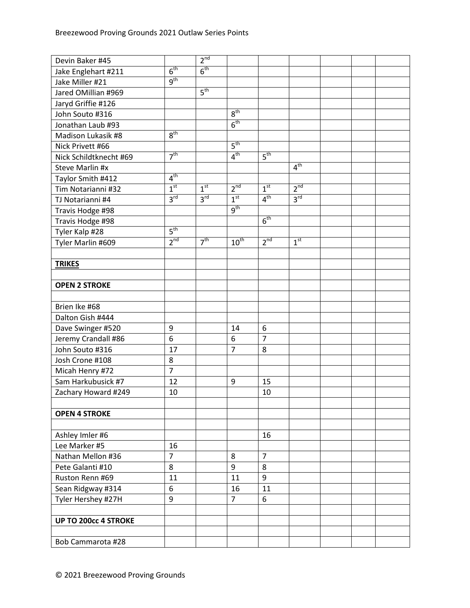| Devin Baker #45             |                 | 2 <sup>nd</sup> |                 |                 |                 |  |  |
|-----------------------------|-----------------|-----------------|-----------------|-----------------|-----------------|--|--|
| Jake Englehart #211         | 6 <sup>th</sup> | 6 <sup>th</sup> |                 |                 |                 |  |  |
| Jake Miller #21             | $q^{th}$        |                 |                 |                 |                 |  |  |
| Jared OMillian #969         |                 | 5 <sup>th</sup> |                 |                 |                 |  |  |
| Jaryd Griffie #126          |                 |                 |                 |                 |                 |  |  |
| John Souto #316             |                 |                 | 8 <sup>th</sup> |                 |                 |  |  |
| Jonathan Laub #93           |                 |                 | 6 <sup>th</sup> |                 |                 |  |  |
| Madison Lukasik #8          | 8 <sup>th</sup> |                 |                 |                 |                 |  |  |
| Nick Privett #66            |                 |                 | 5 <sup>th</sup> |                 |                 |  |  |
| Nick Schildtknecht #69      | 7 <sup>th</sup> |                 | 4 <sup>th</sup> | 5 <sup>th</sup> |                 |  |  |
| Steve Marlin #x             |                 |                 |                 |                 | 4 <sup>th</sup> |  |  |
| Taylor Smith #412           | 4 <sup>th</sup> |                 |                 |                 |                 |  |  |
| Tim Notarianni #32          | 1 <sup>st</sup> | 1 <sup>st</sup> | 2 <sup>nd</sup> | 1 <sup>st</sup> | 2 <sup>nd</sup> |  |  |
| TJ Notarianni #4            | 3 <sup>rd</sup> | 3 <sup>rd</sup> | 1 <sup>st</sup> | 4 <sup>th</sup> | $3^{\text{rd}}$ |  |  |
| Travis Hodge #98            |                 |                 | 9 <sup>th</sup> |                 |                 |  |  |
| Travis Hodge #98            |                 |                 |                 | 6 <sup>th</sup> |                 |  |  |
| Tyler Kalp #28              | 5 <sup>th</sup> |                 |                 |                 |                 |  |  |
| Tyler Marlin #609           | 2 <sup>nd</sup> | 7 <sup>th</sup> | $10^{th}$       | 2 <sup>nd</sup> | 1 <sup>st</sup> |  |  |
|                             |                 |                 |                 |                 |                 |  |  |
| <b>TRIKES</b>               |                 |                 |                 |                 |                 |  |  |
|                             |                 |                 |                 |                 |                 |  |  |
| <b>OPEN 2 STROKE</b>        |                 |                 |                 |                 |                 |  |  |
|                             |                 |                 |                 |                 |                 |  |  |
| Brien Ike #68               |                 |                 |                 |                 |                 |  |  |
| Dalton Gish #444            |                 |                 |                 |                 |                 |  |  |
| Dave Swinger #520           | 9               |                 | 14              | 6               |                 |  |  |
| Jeremy Crandall #86         | 6               |                 | 6               | $\overline{7}$  |                 |  |  |
| John Souto #316             | 17              |                 | $\overline{7}$  | 8               |                 |  |  |
| Josh Crone #108             | 8               |                 |                 |                 |                 |  |  |
| Micah Henry #72             | $\overline{7}$  |                 |                 |                 |                 |  |  |
| Sam Harkubusick #7          | 12              |                 | 9               | 15              |                 |  |  |
| Zachary Howard #249         | 10              |                 |                 | 10              |                 |  |  |
|                             |                 |                 |                 |                 |                 |  |  |
| <b>OPEN 4 STROKE</b>        |                 |                 |                 |                 |                 |  |  |
|                             |                 |                 |                 |                 |                 |  |  |
| Ashley Imler #6             |                 |                 |                 | 16              |                 |  |  |
| Lee Marker #5               | 16              |                 |                 |                 |                 |  |  |
| Nathan Mellon #36           | $\overline{7}$  |                 | 8               | $\overline{7}$  |                 |  |  |
| Pete Galanti #10            | 8               |                 | 9               | 8               |                 |  |  |
| Ruston Renn #69             | 11              |                 | 11              | 9               |                 |  |  |
| Sean Ridgway #314           | 6               |                 | 16              | 11              |                 |  |  |
| Tyler Hershey #27H          | 9               |                 | $\overline{7}$  | 6               |                 |  |  |
|                             |                 |                 |                 |                 |                 |  |  |
| <b>UP TO 200cc 4 STROKE</b> |                 |                 |                 |                 |                 |  |  |
|                             |                 |                 |                 |                 |                 |  |  |
| Bob Cammarota #28           |                 |                 |                 |                 |                 |  |  |